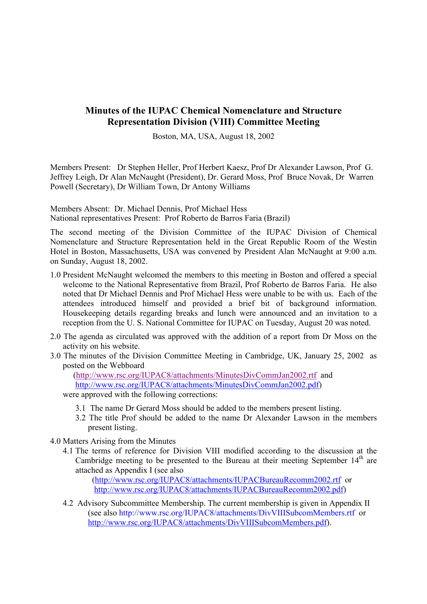# **Minutes of the IUPAC Chemical Nomenclature and Structure Representation Division (VIII) Committee Meeting**

Boston, MA, USA, August 18, 2002

Members Present: Dr Stephen Heller, Prof Herbert Kaesz, Prof Dr Alexander Lawson, Prof G. Jeffrey Leigh, Dr Alan McNaught (President), Dr. Gerard Moss, Prof Bruce Novak, Dr Warren Powell (Secretary), Dr William Town, Dr Antony Williams

Members Absent: Dr. Michael Dennis, Prof Michael Hess National representatives Present: Prof Roberto de Barros Faria (Brazil)

The second meeting of the Division Committee of the IUPAC Division of Chemical Nomenclature and Structure Representation held in the Great Republic Room of the Westin Hotel in Boston, Massachusetts, USA was convened by President Alan McNaught at 9:00 a.m. on Sunday, August 18, 2002.

- 1.0 President McNaught welcomed the members to this meeting in Boston and offered a special welcome to the National Representative from Brazil, Prof Roberto de Barros Faria. He also noted that Dr Michael Dennis and Prof Michael Hess were unable to be with us. Each of the attendees introduced himself and provided a brief bit of background information. Housekeeping details regarding breaks and lunch were announced and an invitation to a reception from the U. S. National Committee for IUPAC on Tuesday, August 20 was noted.
- 2.0 The agenda as circulated was approved with the addition of a report from Dr Moss on the activity on his website.
- 3.0 The minutes of the Division Committee Meeting in Cambridge, UK, January 25, 2002 as posted on the Webboard

 [\(http://www.rsc.org/IUPAC8/attachments/MinutesDivCommJan2002.rtf](http://www.rsc.org/IUPAC8/attachments/MinutesDivCommJan2002.rtf) and [http://www.rsc.org/IUPAC8/attachments/MinutesDivCommJan2002.pdf\)](http://www.rsc.org/IUPAC8/attachments/MinutesDivCommJan2002.pdf) were approved with the following corrections:

- - 3.1 The name Dr Gerard Moss should be added to the members present listing.
	- 3.2 The title Prof should be added to the name Dr Alexander Lawson in the members present listing.
- 4.0 Matters Arising from the Minutes
	- 4.1 The terms of reference for Division VIII modified according to the discussion at the Cambridge meeting to be presented to the Bureau at their meeting September  $14<sup>th</sup>$  are attached as Appendix I (see also

 [\(http://www.rsc.org/IUPAC8/attachments/IUPACBureauRecomm2002.rtf](http://www.rsc.org/IUPAC8/attachments/IUPACBureauRecomm2002.rtf) or [http://www.rsc.org/IUPAC8/attachments/IUPACBureauRecomm2002.pdf\)](http://www.rsc.org/IUPAC8/attachments/IUPACBureauRecomm2002.pdf)

 4.2 Advisory Subcommittee Membership. The current membership is given in Appendix II (see also <http://www.rsc.org/IUPAC8/attachments/DivVIIISubcomMembers.rtf> or [http://www.rsc.org/IUPAC8/attachments/DivVIIISubcomMembers.pd](http://www.rsc.org/IUPAC8/attachments/DivVIIISubcomMembers.pdf)f).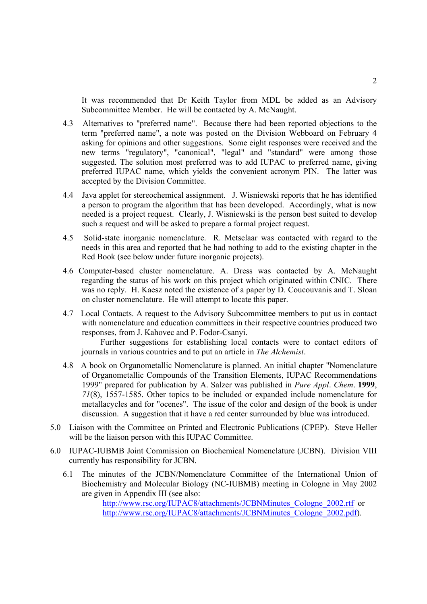It was recommended that Dr Keith Taylor from MDL be added as an Advisory Subcommittee Member. He will be contacted by A. McNaught.

- 4.3 Alternatives to "preferred name". Because there had been reported objections to the term "preferred name", a note was posted on the Division Webboard on February 4 asking for opinions and other suggestions. Some eight responses were received and the new terms "regulatory", "canonical", "legal" and "standard" were among those suggested. The solution most preferred was to add IUPAC to preferred name, giving preferred IUPAC name, which yields the convenient acronym PIN. The latter was accepted by the Division Committee.
- 4.4 Java applet for stereochemical assignment. J. Wisniewski reports that he has identified a person to program the algorithm that has been developed. Accordingly, what is now needed is a project request. Clearly, J. Wisniewski is the person best suited to develop such a request and will be asked to prepare a formal project request.
- 4.5 Solid-state inorganic nomenclature. R. Metselaar was contacted with regard to the needs in this area and reported that he had nothing to add to the existing chapter in the Red Book (see below under future inorganic projects).
- 4.6 Computer-based cluster nomenclature. A. Dress was contacted by A. McNaught regarding the status of his work on this project which originated within CNIC. There was no reply. H. Kaesz noted the existence of a paper by D. Coucouvanis and T. Sloan on cluster nomenclature. He will attempt to locate this paper.
- 4.7 Local Contacts. A request to the Advisory Subcommittee members to put us in contact with nomenclature and education committees in their respective countries produced two responses, from J. Kahovec and P. Fodor-Csanyi.

Further suggestions for establishing local contacts were to contact editors of journals in various countries and to put an article in *The Alchemist*.

- 4.8 A book on Organometallic Nomenclature is planned. An initial chapter "Nomenclature of Organometallic Compounds of the Transition Elements, IUPAC Recommendations 1999" prepared for publication by A. Salzer was published in *Pure Appl*. *Chem*. **1999**, *71*(8), 1557-1585. Other topics to be included or expanded include nomenclature for metallacycles and for "ocenes". The issue of the color and design of the book is under discussion. A suggestion that it have a red center surrounded by blue was introduced.
- 5.0 Liaison with the Committee on Printed and Electronic Publications (CPEP). Steve Heller will be the liaison person with this IUPAC Committee.
- 6.0 IUPAC-IUBMB Joint Commission on Biochemical Nomenclature (JCBN). Division VIII currently has responsibility for JCBN.
	- 6.1 The minutes of the JCBN/Nomenclature Committee of the International Union of Biochemistry and Molecular Biology (NC-IUBMB) meeting in Cologne in May 2002 are given in Appendix III (see also:

[http://www.rsc.org/IUPAC8/attachments/JCBNMinutes\\_Cologne\\_2002.rtf](http://www.rsc.org/IUPAC8/attachments/JCBNMinutes_Cologne_2002.rtf) or [http://www.rsc.org/IUPAC8/attachments/JCBNMinutes\\_Cologne\\_2002.pd](http://www.rsc.org/IUPAC8/attachments/JCBNMinutes_Cologne_2002.pdf)f).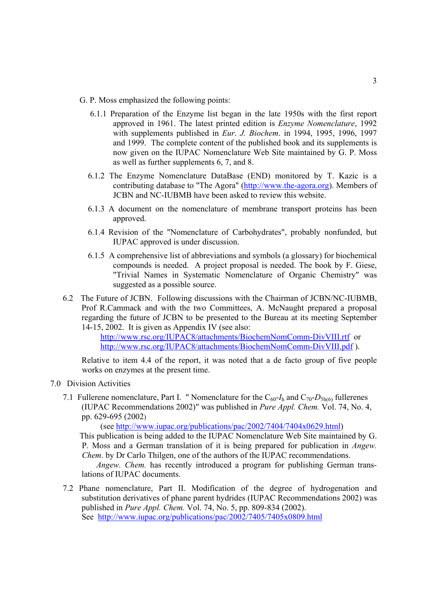- G. P. Moss emphasized the following points:
	- 6.1.1 Preparation of the Enzyme list began in the late 1950s with the first report approved in 1961. The latest printed edition is *Enzyme Nomenclature*, 1992 with supplements published in *Eur*. *J. Biochem*. in 1994, 1995, 1996, 1997 and 1999. The complete content of the published book and its supplements is now given on the IUPAC Nomenclature Web Site maintained by G. P. Moss as well as further supplements 6, 7, and 8.
	- 6.1.2 The Enzyme Nomenclature DataBase (END) monitored by T. Kazic is a contributing database to "The Agora" (<http://www.the-agora.org>). Members of JCBN and NC-IUBMB have been asked to review this website.
	- 6.1.3 A document on the nomenclature of membrane transport proteins has been approved.
	- 6.1.4 Revision of the "Nomenclature of Carbohydrates", probably nonfunded, but IUPAC approved is under discussion.
	- 6.1.5 A comprehensive list of abbreviations and symbols (a glossary) for biochemical compounds is needed. A project proposal is needed. The book by F. Giese, "Trivial Names in Systematic Nomenclature of Organic Chemistry" was suggested as a possible source.
- 6.2 The Future of JCBN. Following discussions with the Chairman of JCBN/NC-IUBMB, Prof R.Cammack and with the two Committees, A. McNaught prepared a proposal regarding the future of JCBN to be presented to the Bureau at its meeting September 14-15, 2002. It is given as Appendix IV (see also:

<http://www.rsc.org/IUPAC8/attachments/BiochemNomComm-DivVIII.rtf> or <http://www.rsc.org/IUPAC8/attachments/BiochemNomComm-DivVIII.pdf>).

 Relative to item 4.4 of the report, it was noted that a de facto group of five people works on enzymes at the present time.

- 7.0 Division Activities
	- 7.1 Fullerene nomenclature, Part I. " Nomenclature for the  $C_{60}$ - $I_h$  and  $C_{70}$ - $D_{5h(6)}$  fullerenes (IUPAC Recommendations 2002)" was published in *Pure Appl. Chem.* Vol. 74, No. 4, pp. 629-695 (2002)

(see [http://www.iupac.org/publications/pac/2002/7404/7404x0629.html\)](http://www.iupac.org/publications/pac/2002/7404/7404x0629.html)

 This publication is being added to the IUPAC Nomenclature Web Site maintained by G. P. Moss and a German translation of it is being prepared for publication in *Angew. Chem.* by Dr Carlo Thilgen, one of the authors of the IUPAC recommendations.

 *Angew. Chem.* has recently introduced a program for publishing German translations of IUPAC documents.

7.2 Phane nomenclature, Part II. Modification of the degree of hydrogenation and substitution derivatives of phane parent hydrides (IUPAC Recommendations 2002) was published in *Pure Appl. Chem.* Vol. 74, No. 5, pp. 809-834 (2002). See <http://www.iupac.org/publications/pac/2002/7405/7405x0809.html>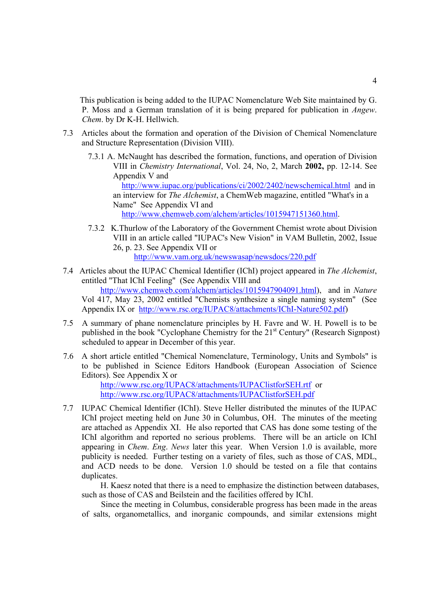This publication is being added to the IUPAC Nomenclature Web Site maintained by G. P. Moss and a German translation of it is being prepared for publication in *Angew*. *Chem*. by Dr K-H. Hellwich.

- 7.3 Articles about the formation and operation of the Division of Chemical Nomenclature and Structure Representation (Division VIII).
	- 7.3.1 A. McNaught has described the formation, functions, and operation of Division VIII in *Chemistry International*, Vol. 24, No, 2, March **2002,** pp. 12-14. See Appendix V and

 <http://www.iupac.org/publications/ci/2002/2402/newschemical.html> and in an interview for *The Alchemist*, a ChemWeb magazine, entitled "What's in a Name" See Appendix VI and [http://www.chemweb.com/alchem/articles/1015947151360.html.](http://www.chemweb.com/alchem/articles/1015947151360.html)

- 7.3.2 K.Thurlow of the Laboratory of the Government Chemist wrote about Division VIII in an article called "IUPAC's New Vision" in VAM Bulletin, 2002, Issue 26, p. 23. See Appendix VII or <http://www.vam.org.uk/newswasap/newsdocs/220.pdf>
- 7.4 Articles about the IUPAC Chemical Identifier (IChI) project appeared in *The Alchemist*, entitled "That IChI Feeling" (See Appendix VIII and

 [http://www.chemweb.com/alchem/articles/1015947904091.htm](http://www.chemweb.com/alchem/articles/1015947904091.html)l), and in *Nature* Vol 417, May 23, 2002 entitled "Chemists synthesize a single naming system" (See Appendix IX or [http://www.rsc.org/IUPAC8/attachments/IChI-Nature502.pdf\)](http://www.rsc.org/IUPAC8/attachments/IChI-Nature502.pdf) 

- 7.5 A summary of phane nomenclature principles by H. Favre and W. H. Powell is to be published in the book "Cyclophane Chemistry for the 21<sup>st</sup> Century" (Research Signpost) scheduled to appear in December of this year.
- 7.6 A short article entitled "Chemical Nomenclature, Terminology, Units and Symbols" is to be published in Science Editors Handbook (European Association of Science Editors). See Appendix X or

 <http://www.rsc.org/IUPAC8/attachments/IUPAClistforSEH.rtf>or <http://www.rsc.org/IUPAC8/attachments/IUPAClistforSEH.pdf>

7.7 IUPAC Chemical Identifier (IChI). Steve Heller distributed the minutes of the IUPAC IChI project meeting held on June 30 in Columbus, OH. The minutes of the meeting are attached as Appendix XI. He also reported that CAS has done some testing of the IChI algorithm and reported no serious problems. There will be an article on IChI appearing in *Chem*. *Eng*. *News* later this year. When Version 1.0 is available, more publicity is needed. Further testing on a variety of files, such as those of CAS, MDL, and ACD needs to be done. Version 1.0 should be tested on a file that contains duplicates.

H. Kaesz noted that there is a need to emphasize the distinction between databases, such as those of CAS and Beilstein and the facilities offered by IChI.

Since the meeting in Columbus, considerable progress has been made in the areas of salts, organometallics, and inorganic compounds, and similar extensions might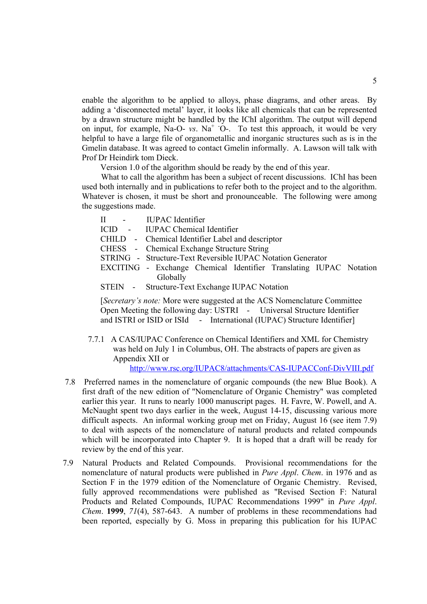enable the algorithm to be applied to alloys, phase diagrams, and other areas. By adding a 'disconnected metal' layer, it looks like all chemicals that can be represented by a drawn structure might be handled by the IChI algorithm. The output will depend on input, for example,  $Na-O- vs. Na<sup>+</sup> O-$ . To test this approach, it would be very helpful to have a large file of organometallic and inorganic structures such as is in the Gmelin database. It was agreed to contact Gmelin informally. A. Lawson will talk with Prof Dr Heindirk tom Dieck.

Version 1.0 of the algorithm should be ready by the end of this year.

What to call the algorithm has been a subject of recent discussions. IChI has been used both internally and in publications to refer both to the project and to the algorithm. Whatever is chosen, it must be short and pronounceable. The following were among the suggestions made.

|                                                             | II - IUPAC Identifier                                                          |  |  |  |  |  |  |  |  |
|-------------------------------------------------------------|--------------------------------------------------------------------------------|--|--|--|--|--|--|--|--|
|                                                             | ICID - IUPAC Chemical Identifier                                               |  |  |  |  |  |  |  |  |
|                                                             | CHILD - Chemical Identifier Label and descriptor                               |  |  |  |  |  |  |  |  |
|                                                             | CHESS - Chemical Exchange Structure String                                     |  |  |  |  |  |  |  |  |
| STRING - Structure-Text Reversible IUPAC Notation Generator |                                                                                |  |  |  |  |  |  |  |  |
|                                                             | EXCITING - Exchange Chemical Identifier Translating IUPAC Notation<br>Globally |  |  |  |  |  |  |  |  |
|                                                             | STEIN - Structure-Text Exchange IUPAC Notation                                 |  |  |  |  |  |  |  |  |
|                                                             | [Secretary's note: More were suggested at the ACS Nomenclature Committee       |  |  |  |  |  |  |  |  |

Open Meeting the following day: USTRI - Universal Structure Identifier and ISTRI or ISID or ISId - International (IUPAC) Structure Identifier

7.7.1 A CAS/IUPAC Conference on Chemical Identifiers and XML for Chemistry was held on July 1 in Columbus, OH. The abstracts of papers are given as Appendix XII or

<http://www.rsc.org/IUPAC8/attachments/CAS-IUPACConf-DivVIII.pdf>

- 7.8 Preferred names in the nomenclature of organic compounds (the new Blue Book). A first draft of the new edition of "Nomenclature of Organic Chemistry" was completed earlier this year. It runs to nearly 1000 manuscript pages. H. Favre, W. Powell, and A. McNaught spent two days earlier in the week, August 14-15, discussing various more difficult aspects. An informal working group met on Friday, August 16 (see item 7.9) to deal with aspects of the nomenclature of natural products and related compounds which will be incorporated into Chapter 9. It is hoped that a draft will be ready for review by the end of this year.
- 7.9 Natural Products and Related Compounds. Provisional recommendations for the nomenclature of natural products were published in *Pure Appl*. *Chem*. in 1976 and as Section F in the 1979 edition of the Nomenclature of Organic Chemistry. Revised, fully approved recommendations were published as "Revised Section F: Natural Products and Related Compounds, IUPAC Recommendations 1999" in *Pure Appl*. *Chem*. **1999**, *71*(4), 587-643. A number of problems in these recommendations had been reported, especially by G. Moss in preparing this publication for his IUPAC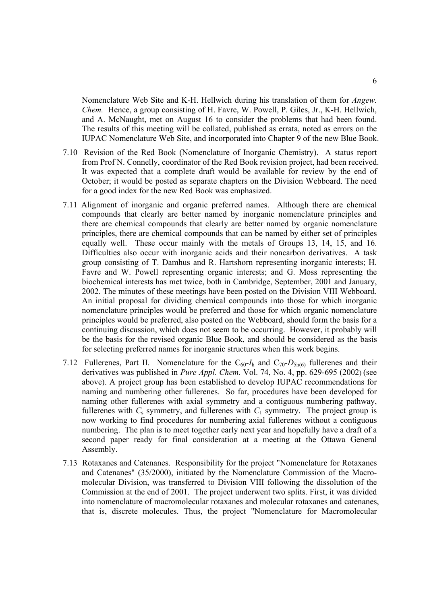Nomenclature Web Site and K-H. Hellwich during his translation of them for *Angew. Chem.* Hence, a group consisting of H. Favre, W. Powell, P. Giles, Jr., K-H. Hellwich, and A. McNaught, met on August 16 to consider the problems that had been found. The results of this meeting will be collated, published as errata, noted as errors on the IUPAC Nomenclature Web Site, and incorporated into Chapter 9 of the new Blue Book.

- 7.10 Revision of the Red Book (Nomenclature of Inorganic Chemistry). A status report from Prof N. Connelly, coordinator of the Red Book revision project, had been received. It was expected that a complete draft would be available for review by the end of October; it would be posted as separate chapters on the Division Webboard. The need for a good index for the new Red Book was emphasized.
- 7.11 Alignment of inorganic and organic preferred names. Although there are chemical compounds that clearly are better named by inorganic nomenclature principles and there are chemical compounds that clearly are better named by organic nomenclature principles, there are chemical compounds that can be named by either set of principles equally well. These occur mainly with the metals of Groups 13, 14, 15, and 16. Difficulties also occur with inorganic acids and their noncarbon derivatives. A task group consisting of T. Damhus and R. Hartshorn representing inorganic interests; H. Favre and W. Powell representing organic interests; and G. Moss representing the biochemical interests has met twice, both in Cambridge, September, 2001 and January, 2002. The minutes of these meetings have been posted on the Division VIII Webboard. An initial proposal for dividing chemical compounds into those for which inorganic nomenclature principles would be preferred and those for which organic nomenclature principles would be preferred, also posted on the Webboard, should form the basis for a continuing discussion, which does not seem to be occurring. However, it probably will be the basis for the revised organic Blue Book, and should be considered as the basis for selecting preferred names for inorganic structures when this work begins.
- 7.12 Fullerenes, Part II. Nomenclature for the  $C_{60}$ - $I_h$  and  $C_{70}$ - $D_{5h(6)}$  fullerenes and their derivatives was published in *Pure Appl. Chem.* Vol. 74, No. 4, pp. 629-695 (2002) (see above). A project group has been established to develop IUPAC recommendations for naming and numbering other fullerenes. So far, procedures have been developed for naming other fullerenes with axial symmetry and a contiguous numbering pathway, fullerenes with  $C_s$  symmetry, and fullerenes with  $C_1$  symmetry. The project group is now working to find procedures for numbering axial fullerenes without a contiguous numbering. The plan is to meet together early next year and hopefully have a draft of a second paper ready for final consideration at a meeting at the Ottawa General Assembly.
- 7.13 Rotaxanes and Catenanes. Responsibility for the project "Nomenclature for Rotaxanes and Catenanes" (35/2000), initiated by the Nomenclature Commission of the Macromolecular Division, was transferred to Division VIII following the dissolution of the Commission at the end of 2001. The project underwent two splits. First, it was divided into nomenclature of macromolecular rotaxanes and molecular rotaxanes and catenanes, that is, discrete molecules. Thus, the project "Nomenclature for Macromolecular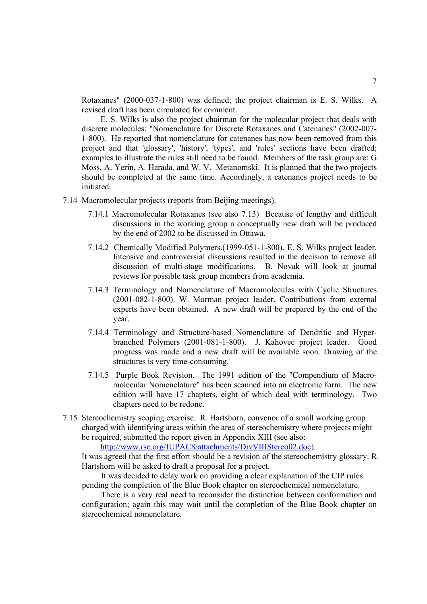Rotaxanes" (2000-037-1-800) was defined; the project chairman is E. S. Wilks. A revised draft has been circulated for comment.

E. S. Wilks is also the project chairman for the molecular project that deals with discrete molecules: "Nomenclature for Discrete Rotaxanes and Catenanes" (2002-007- 1-800). He reported that nomenclature for catenanes has now been removed from this project and that 'glossary', 'history', 'types', and 'rules' sections have been drafted; examples to illustrate the rules still need to be found. Members of the task group are: G. Moss, A. Yerin, A. Harada, and W. V. Metanomski. It is planned that the two projects should be completed at the same time. Accordingly, a catenanes project needs to be initiated.

- 7.14 Macromolecular projects (reports from Beijing meetings).
	- 7.14.1 Macromolecular Rotaxanes (see also 7.13) Because of lengthy and difficult discussions in the working group a conceptually new draft will be produced by the end of 2002 to be discussed in Ottawa.
	- 7.14.2 Chemically Modified Polymers.(1999-051-1-800). E. S. Wilks project leader. Intensive and controversial discussions resulted in the decision to remove all discussion of multi-stage modifications. B. Novak will look at journal reviews for possible task group members from academia.
	- 7.14.3 Terminology and Nomenclature of Macromolecules with Cyclic Structures (2001-082-1-800). W. Morman project leader. Contributions from external experts have been obtained. A new draft will be prepared by the end of the year.
	- 7.14.4 Terminology and Structure-based Nomenclature of Dendritic and Hyperbranched Polymers (2001-081-1-800). J. Kahovec project leader. Good progress was made and a new draft will be available soon. Drawing of the structures is very time-consuming.
	- 7.14.5 Purple Book Revision. The 1991 edition of the "Compendium of Macromolecular Nomenclature" has been scanned into an electronic form. The new edition will have 17 chapters, eight of which deal with terminology. Two chapters need to be redone.
- 7.15 Stereochemistry scoping exercise. R. Hartshorn, convenor of a small working group charged with identifying areas within the area of stereochemistry where projects might be required, submitted the report given in Appendix XIII (see also:

<http://www.rsc.org/IUPAC8/attachments/DivVIIIStereo02.doc>).

 It was agreed that the first effort should be a revision of the stereochemistry glossary. R. Hartshorn will be asked to draft a proposal for a project.

It was decided to delay work on providing a clear explanation of the CIP rules pending the completion of the Blue Book chapter on stereochemical nomenclature.

There is a very real need to reconsider the distinction between conformation and configuration; again this may wait until the completion of the Blue Book chapter on stereochemical nomenclature.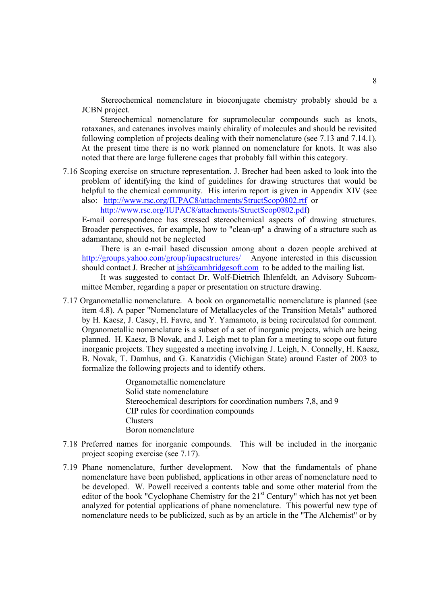Stereochemical nomenclature in bioconjugate chemistry probably should be a JCBN project.

Stereochemical nomenclature for supramolecular compounds such as knots, rotaxanes, and catenanes involves mainly chirality of molecules and should be revisited following completion of projects dealing with their nomenclature (see 7.13 and 7.14.1). At the present time there is no work planned on nomenclature for knots. It was also noted that there are large fullerene cages that probably fall within this category.

7.16 Scoping exercise on structure representation. J. Brecher had been asked to look into the problem of identifying the kind of guidelines for drawing structures that would be helpful to the chemical community. His interim report is given in Appendix XIV (see also: <http://www.rsc.org/IUPAC8/attachments/StructScop0802.rtf>or

[http://www.rsc.org/IUPAC8/attachments/StructScop0802.pdf\)](http://www.rsc.org/IUPAC8/attachments/StructScop0802.pdf)

E-mail correspondence has stressed stereochemical aspects of drawing structures. Broader perspectives, for example, how to "clean-up" a drawing of a structure such as adamantane, should not be neglected

There is an e-mail based discussion among about a dozen people archived at <http://groups.yahoo.com/group/iupacstructures/>Anyone interested in this discussion should contact J. Brecher at  $isb@cambridgesoft.com$  to be added to the mailing list.

It was suggested to contact Dr. Wolf-Dietrich Ihlenfeldt, an Advisory Subcommittee Member, regarding a paper or presentation on structure drawing.

7.17 Organometallic nomenclature. A book on organometallic nomenclature is planned (see item 4.8). A paper "Nomenclature of Metallacycles of the Transition Metals" authored by H. Kaesz, J. Casey, H. Favre, and Y. Yamamoto, is being recirculated for comment. Organometallic nomenclature is a subset of a set of inorganic projects, which are being planned. H. Kaesz, B Novak, and J. Leigh met to plan for a meeting to scope out future inorganic projects. They suggested a meeting involving J. Leigh, N. Connelly, H. Kaesz, B. Novak, T. Damhus, and G. Kanatzidis (Michigan State) around Easter of 2003 to formalize the following projects and to identify others.

> Organometallic nomenclature Solid state nomenclature Stereochemical descriptors for coordination numbers 7,8, and 9 CIP rules for coordination compounds **Clusters** Boron nomenclature

- 7.18 Preferred names for inorganic compounds. This will be included in the inorganic project scoping exercise (see 7.17).
- 7.19 Phane nomenclature, further development. Now that the fundamentals of phane nomenclature have been published, applications in other areas of nomenclature need to be developed. W. Powell received a contents table and some other material from the editor of the book "Cyclophane Chemistry for the 21<sup>st</sup> Century" which has not yet been analyzed for potential applications of phane nomenclature. This powerful new type of nomenclature needs to be publicized, such as by an article in the "The Alchemist" or by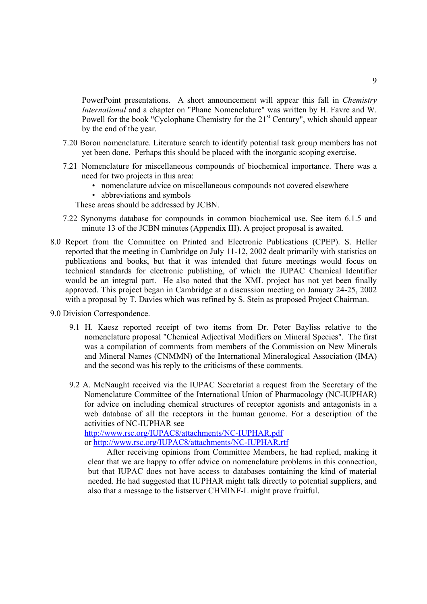PowerPoint presentations. A short announcement will appear this fall in *Chemistry International* and a chapter on "Phane Nomenclature" was written by H. Favre and W. Powell for the book "Cyclophane Chemistry for the  $21<sup>st</sup>$  Century", which should appear by the end of the year.

- 7.20 Boron nomenclature. Literature search to identify potential task group members has not yet been done. Perhaps this should be placed with the inorganic scoping exercise.
- 7.21 Nomenclature for miscellaneous compounds of biochemical importance. There was a need for two projects in this area:
	- nomenclature advice on miscellaneous compounds not covered elsewhere
	- abbreviations and symbols

These areas should be addressed by JCBN.

- 7.22 Synonyms database for compounds in common biochemical use. See item 6.1.5 and minute 13 of the JCBN minutes (Appendix III). A project proposal is awaited.
- 8.0 Report from the Committee on Printed and Electronic Publications (CPEP). S. Heller reported that the meeting in Cambridge on July 11-12, 2002 dealt primarily with statistics on publications and books, but that it was intended that future meetings would focus on technical standards for electronic publishing, of which the IUPAC Chemical Identifier would be an integral part. He also noted that the XML project has not yet been finally approved. This project began in Cambridge at a discussion meeting on January 24-25, 2002 with a proposal by T. Davies which was refined by S. Stein as proposed Project Chairman.

9.0 Division Correspondence.

- 9.1 H. Kaesz reported receipt of two items from Dr. Peter Bayliss relative to the nomenclature proposal "Chemical Adjectival Modifiers on Mineral Species". The first was a compilation of comments from members of the Commission on New Minerals and Mineral Names (CNMMN) of the International Mineralogical Association (IMA) and the second was his reply to the criticisms of these comments.
- 9.2 A. McNaught received via the IUPAC Secretariat a request from the Secretary of the Nomenclature Committee of the International Union of Pharmacology (NC-IUPHAR) for advice on including chemical structures of receptor agonists and antagonists in a web database of all the receptors in the human genome. For a description of the activities of NC-IUPHAR see

<http://www.rsc.org/IUPAC8/attachments/NC-IUPHAR.pdf> or<http://www.rsc.org/IUPAC8/attachments/NC-IUPHAR.rtf>

 After receiving opinions from Committee Members, he had replied, making it clear that we are happy to offer advice on nomenclature problems in this connection, but that IUPAC does not have access to databases containing the kind of material needed. He had suggested that IUPHAR might talk directly to potential suppliers, and also that a message to the listserver CHMINF-L might prove fruitful.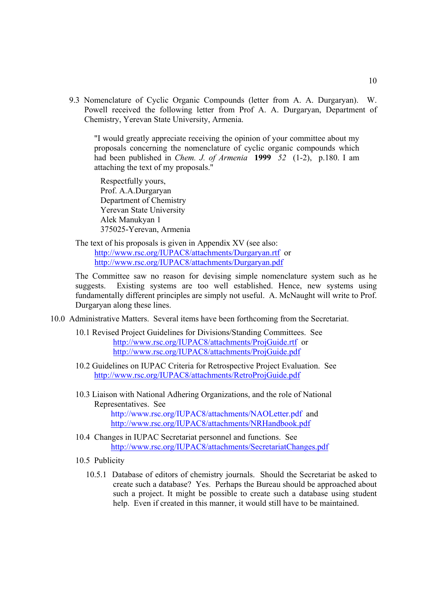9.3 Nomenclature of Cyclic Organic Compounds (letter from A. A. Durgaryan). W. Powell received the following letter from Prof A. A. Durgaryan, Department of Chemistry, Yerevan State University, Armenia.

"I would greatly appreciate receiving the opinion of your committee about my proposals concerning the nomenclature of cyclic organic compounds which had been published in *Chem. J. of Armenia* **1999** *52* (1-2), p.180. I am attaching the text of my proposals."

 Respectfully yours, Prof. A.A.Durgaryan Department of Chemistry Yerevan State University Alek Manukyan 1 375025-Yerevan, Armenia

The text of his proposals is given in Appendix XV (see also: <http://www.rsc.org/IUPAC8/attachments/Durgaryan.rtf>or <http://www.rsc.org/IUPAC8/attachments/Durgaryan.pdf>

The Committee saw no reason for devising simple nomenclature system such as he suggests. Existing systems are too well established. Hence, new systems using fundamentally different principles are simply not useful. A. McNaught will write to Prof. Durgaryan along these lines.

- 10.0 Administrative Matters. Several items have been forthcoming from the Secretariat.
	- 10.1 Revised Project Guidelines for Divisions/Standing Committees. See <http://www.rsc.org/IUPAC8/attachments/ProjGuide.rtf>or <http://www.rsc.org/IUPAC8/attachments/ProjGuide.pdf>
	- 10.2 Guidelines on IUPAC Criteria for Retrospective Project Evaluation. See <http://www.rsc.org/IUPAC8/attachments/RetroProjGuide.pdf>
	- 10.3 Liaison with National Adhering Organizations, and the role of National Representatives. See <http://www.rsc.org/IUPAC8/attachments/NAOLetter.pdf>and <http://www.rsc.org/IUPAC8/attachments/NRHandbook.pdf>
	- 10.4 Changes in IUPAC Secretariat personnel and functions. See <http://www.rsc.org/IUPAC8/attachments/SecretariatChanges.pdf>
	- 10.5 Publicity
		- 10.5.1 Database of editors of chemistry journals. Should the Secretariat be asked to create such a database? Yes. Perhaps the Bureau should be approached about such a project. It might be possible to create such a database using student help. Even if created in this manner, it would still have to be maintained.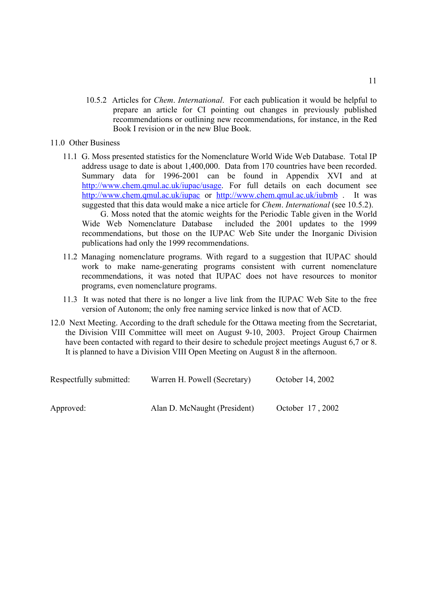- 10.5.2 Articles for *Chem*. *International*. For each publication it would be helpful to prepare an article for CI pointing out changes in previously published recommendations or outlining new recommendations, for instance, in the Red Book I revision or in the new Blue Book.
- 11.0 Other Business
	- 11.1 G. Moss presented statistics for the Nomenclature World Wide Web Database. Total IP address usage to date is about 1,400,000. Data from 170 countries have been recorded. Summary data for 1996-2001 can be found in Appendix XVI and at [http://www.chem.qmul.ac.uk/iupac/usage.](http://www.chem.qmul.ac.uk/iupac/usage) For full details on each document see <http://www.chem.qmul.ac.uk/iupac>or <http://www.chem.qmul.ac.uk/iubmb>. It was suggested that this data would make a nice article for *Chem*. *International* (see 10.5.2).

 G. Moss noted that the atomic weights for the Periodic Table given in the World Wide Web Nomenclature Database included the 2001 updates to the 1999 recommendations, but those on the IUPAC Web Site under the Inorganic Division publications had only the 1999 recommendations.

- 11.2 Managing nomenclature programs. With regard to a suggestion that IUPAC should work to make name-generating programs consistent with current nomenclature recommendations, it was noted that IUPAC does not have resources to monitor programs, even nomenclature programs.
- 11.3 It was noted that there is no longer a live link from the IUPAC Web Site to the free version of Autonom; the only free naming service linked is now that of ACD.
- 12.0 Next Meeting. According to the draft schedule for the Ottawa meeting from the Secretariat, the Division VIII Committee will meet on August 9-10, 2003. Project Group Chairmen have been contacted with regard to their desire to schedule project meetings August 6.7 or 8. It is planned to have a Division VIII Open Meeting on August 8 in the afternoon.

| Respectfully submitted: | Warren H. Powell (Secretary) | October 14, 2002 |  |  |
|-------------------------|------------------------------|------------------|--|--|
| Approved:               | Alan D. McNaught (President) | October 17, 2002 |  |  |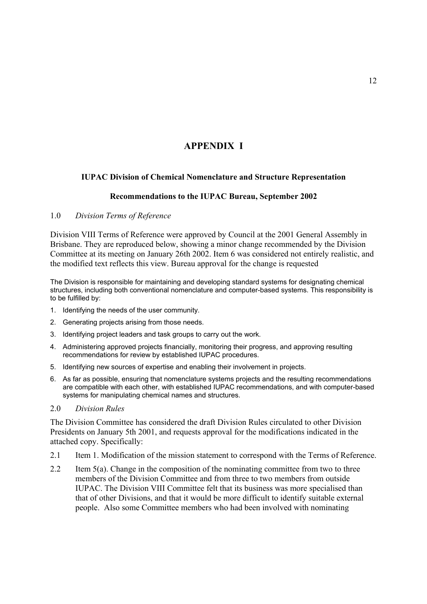# **APPENDIX I**

### **IUPAC Division of Chemical Nomenclature and Structure Representation**

#### **Recommendations to the IUPAC Bureau, September 2002**

# 1.0 *Division Terms of Reference*

Division VIII Terms of Reference were approved by Council at the 2001 General Assembly in Brisbane. They are reproduced below, showing a minor change recommended by the Division Committee at its meeting on January 26th 2002. Item 6 was considered not entirely realistic, and the modified text reflects this view. Bureau approval for the change is requested

The Division is responsible for maintaining and developing standard systems for designating chemical structures, including both conventional nomenclature and computer-based systems. This responsibility is to be fulfilled by:

- 1. Identifying the needs of the user community.
- 2. Generating projects arising from those needs.
- 3. Identifying project leaders and task groups to carry out the work.
- 4. Administering approved projects financially, monitoring their progress, and approving resulting recommendations for review by established IUPAC procedures.
- 5. Identifying new sources of expertise and enabling their involvement in projects.
- 6. As far as possible, ensuring that nomenclature systems projects and the resulting recommendations are compatible with each other, with established IUPAC recommendations, and with computer-based systems for manipulating chemical names and structures.
- 2.0 *Division Rules*

The Division Committee has considered the draft Division Rules circulated to other Division Presidents on January 5th 2001, and requests approval for the modifications indicated in the attached copy. Specifically:

- 2.1 Item 1. Modification of the mission statement to correspond with the Terms of Reference.
- 2.2 Item 5(a). Change in the composition of the nominating committee from two to three members of the Division Committee and from three to two members from outside IUPAC. The Division VIII Committee felt that its business was more specialised than that of other Divisions, and that it would be more difficult to identify suitable external people. Also some Committee members who had been involved with nominating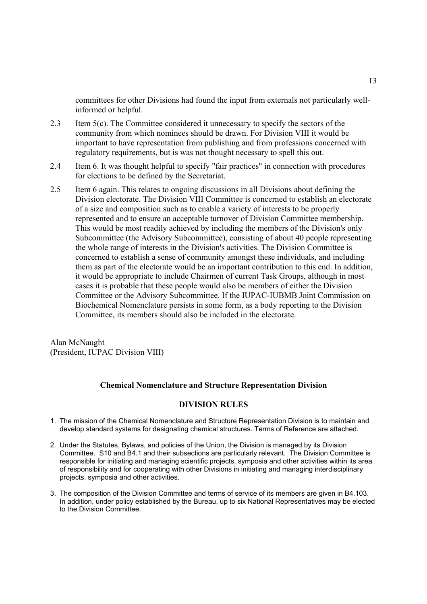committees for other Divisions had found the input from externals not particularly wellinformed or helpful.

- 2.3 Item 5(c). The Committee considered it unnecessary to specify the sectors of the community from which nominees should be drawn. For Division VIII it would be important to have representation from publishing and from professions concerned with regulatory requirements, but is was not thought necessary to spell this out.
- 2.4 Item 6. It was thought helpful to specify "fair practices" in connection with procedures for elections to be defined by the Secretariat.
- 2.5 Item 6 again. This relates to ongoing discussions in all Divisions about defining the Division electorate. The Division VIII Committee is concerned to establish an electorate of a size and composition such as to enable a variety of interests to be properly represented and to ensure an acceptable turnover of Division Committee membership. This would be most readily achieved by including the members of the Division's only Subcommittee (the Advisory Subcommittee), consisting of about 40 people representing the whole range of interests in the Division's activities. The Division Committee is concerned to establish a sense of community amongst these individuals, and including them as part of the electorate would be an important contribution to this end. In addition, it would be appropriate to include Chairmen of current Task Groups, although in most cases it is probable that these people would also be members of either the Division Committee or the Advisory Subcommittee. If the IUPAC-IUBMB Joint Commission on Biochemical Nomenclature persists in some form, as a body reporting to the Division Committee, its members should also be included in the electorate.

Alan McNaught (President, IUPAC Division VIII)

#### **Chemical Nomenclature and Structure Representation Division**

# **DIVISION RULES**

- 1. The mission of the Chemical Nomenclature and Structure Representation Division is to maintain and develop standard systems for designating chemical structures. Terms of Reference are attached.
- 2. Under the Statutes, Bylaws, and policies of the Union, the Division is managed by its Division Committee. S10 and B4.1 and their subsections are particularly relevant. The Division Committee is responsible for initiating and managing scientific projects, symposia and other activities within its area of responsibility and for cooperating with other Divisions in initiating and managing interdisciplinary projects, symposia and other activities.
- 3. The composition of the Division Committee and terms of service of its members are given in B4.103. In addition, under policy established by the Bureau, up to six National Representatives may be elected to the Division Committee.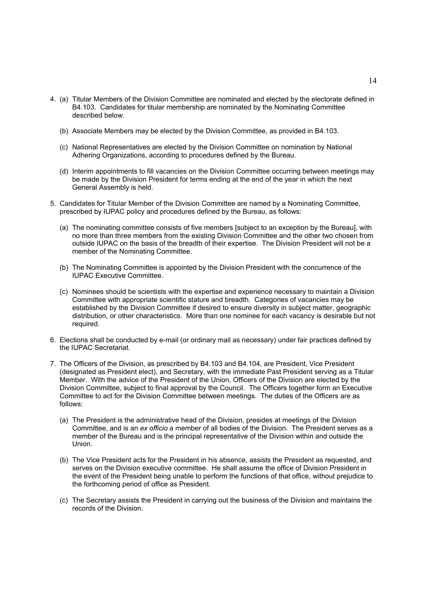- 4. (a) Titular Members of the Division Committee are nominated and elected by the electorate defined in B4.103. Candidates for titular membership are nominated by the Nominating Committee described below.
	- (b) Associate Members may be elected by the Division Committee, as provided in B4.103.
	- (c) National Representatives are elected by the Division Committee on nomination by National Adhering Organizations, according to procedures defined by the Bureau.
	- (d) Interim appointments to fill vacancies on the Division Committee occurring between meetings may be made by the Division President for terms ending at the end of the year in which the next General Assembly is held.
- 5. Candidates for Titular Member of the Division Committee are named by a Nominating Committee, prescribed by IUPAC policy and procedures defined by the Bureau, as follows:
	- (a) The nominating committee consists of five members [subject to an exception by the Bureau], with no more than three members from the existing Division Committee and the other two chosen from outside IUPAC on the basis of the breadth of their expertise. The Division President will not be a member of the Nominating Committee.
	- (b) The Nominating Committee is appointed by the Division President with the concurrence of the IUPAC Executive Committee.
	- (c) Nominees should be scientists with the expertise and experience necessary to maintain a Division Committee with appropriate scientific stature and breadth. Categories of vacancies may be established by the Division Committee if desired to ensure diversity in subject matter, geographic distribution, or other characteristics. More than one nominee for each vacancy is desirable but not required.
- 6. Elections shall be conducted by e-mail (or ordinary mail as necessary) under fair practices defined by the IUPAC Secretariat.
- 7. The Officers of the Division, as prescribed by B4.103 and B4.104, are President, Vice President (designated as President elect), and Secretary, with the immediate Past President serving as a Titular Member. With the advice of the President of the Union, Officers of the Division are elected by the Division Committee, subject to final approval by the Council. The Officers together form an Executive Committee to act for the Division Committee between meetings. The duties of the Officers are as follows:
	- (a) The President is the administrative head of the Division, presides at meetings of the Division Committee, and is an *ex officio* a member of all bodies of the Division. The President serves as a member of the Bureau and is the principal representative of the Division within and outside the Union.
	- (b) The Vice President acts for the President in his absence, assists the President as requested, and serves on the Division executive committee. He shall assume the office of Division President in the event of the President being unable to perform the functions of that office, without prejudice to the forthcoming period of office as President.
	- (c) The Secretary assists the President in carrying out the business of the Division and maintains the records of the Division.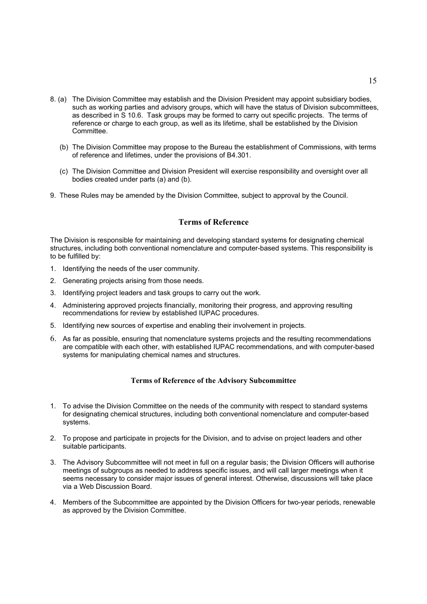- 8. (a) The Division Committee may establish and the Division President may appoint subsidiary bodies, such as working parties and advisory groups, which will have the status of Division subcommittees. as described in S 10.6. Task groups may be formed to carry out specific projects. The terms of reference or charge to each group, as well as its lifetime, shall be established by the Division Committee.
	- (b) The Division Committee may propose to the Bureau the establishment of Commissions, with terms of reference and lifetimes, under the provisions of B4.301.
	- (c) The Division Committee and Division President will exercise responsibility and oversight over all bodies created under parts (a) and (b).
- 9. These Rules may be amended by the Division Committee, subject to approval by the Council.

#### **Terms of Reference**

The Division is responsible for maintaining and developing standard systems for designating chemical structures, including both conventional nomenclature and computer-based systems. This responsibility is to be fulfilled by:

- 1. Identifying the needs of the user community.
- 2. Generating projects arising from those needs.
- 3. Identifying project leaders and task groups to carry out the work.
- 4. Administering approved projects financially, monitoring their progress, and approving resulting recommendations for review by established IUPAC procedures.
- 5. Identifying new sources of expertise and enabling their involvement in projects.
- 6. As far as possible, ensuring that nomenclature systems projects and the resulting recommendations are compatible with each other, with established IUPAC recommendations, and with computer-based systems for manipulating chemical names and structures.

#### **Terms of Reference of the Advisory Subcommittee**

- 1. To advise the Division Committee on the needs of the community with respect to standard systems for designating chemical structures, including both conventional nomenclature and computer-based systems.
- 2. To propose and participate in projects for the Division, and to advise on project leaders and other suitable participants.
- 3. The Advisory Subcommittee will not meet in full on a regular basis; the Division Officers will authorise meetings of subgroups as needed to address specific issues, and will call larger meetings when it seems necessary to consider major issues of general interest. Otherwise, discussions will take place via a Web Discussion Board.
- 4. Members of the Subcommittee are appointed by the Division Officers for two-year periods, renewable as approved by the Division Committee.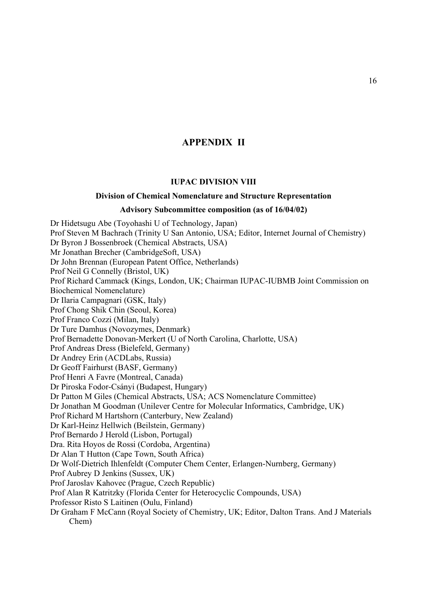# **APPENDIX II**

#### **IUPAC DIVISION VIII**

#### **Division of Chemical Nomenclature and Structure Representation**

#### **Advisory Subcommittee composition (as of 16/04/02)**

Dr Hidetsugu Abe (Toyohashi U of Technology, Japan) Prof Steven M Bachrach (Trinity U San Antonio, USA; Editor, Internet Journal of Chemistry) Dr Byron J Bossenbroek (Chemical Abstracts, USA) Mr Jonathan Brecher (CambridgeSoft, USA) Dr John Brennan (European Patent Office, Netherlands) Prof Neil G Connelly (Bristol, UK) Prof Richard Cammack (Kings, London, UK; Chairman IUPAC-IUBMB Joint Commission on Biochemical Nomenclature) Dr Ilaria Campagnari (GSK, Italy) Prof Chong Shik Chin (Seoul, Korea) Prof Franco Cozzi (Milan, Italy) Dr Ture Damhus (Novozymes, Denmark) Prof Bernadette Donovan-Merkert (U of North Carolina, Charlotte, USA) Prof Andreas Dress (Bielefeld, Germany) Dr Andrey Erin (ACDLabs, Russia) Dr Geoff Fairhurst (BASF, Germany) Prof Henri A Favre (Montreal, Canada) Dr Piroska Fodor-Csányi (Budapest, Hungary) Dr Patton M Giles (Chemical Abstracts, USA; ACS Nomenclature Committee) Dr Jonathan M Goodman (Unilever Centre for Molecular Informatics, Cambridge, UK) Prof Richard M Hartshorn (Canterbury, New Zealand) Dr Karl-Heinz Hellwich (Beilstein, Germany) Prof Bernardo J Herold (Lisbon, Portugal) Dra. Rita Hoyos de Rossi (Cordoba, Argentina) Dr Alan T Hutton (Cape Town, South Africa) Dr Wolf-Dietrich Ihlenfeldt (Computer Chem Center, Erlangen-Nurnberg, Germany) Prof Aubrey D Jenkins (Sussex, UK) Prof Jaroslav Kahovec (Prague, Czech Republic) Prof Alan R Katritzky (Florida Center for Heterocyclic Compounds, USA) Professor Risto S Laitinen (Oulu, Finland) Dr Graham F McCann (Royal Society of Chemistry, UK; Editor, Dalton Trans. And J Materials Chem)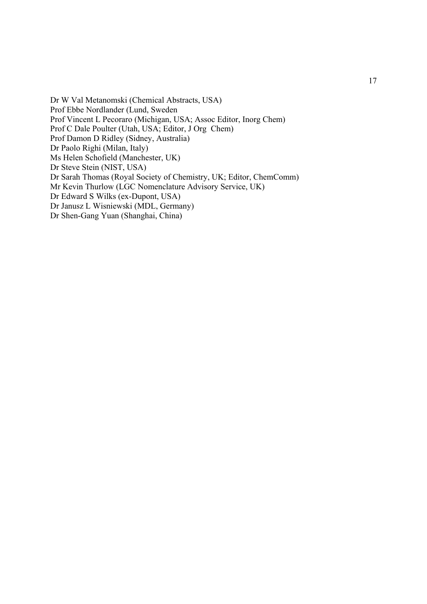Dr W Val Metanomski (Chemical Abstracts, USA) Prof Ebbe Nordlander (Lund, Sweden Prof Vincent L Pecoraro (Michigan, USA; Assoc Editor, Inorg Chem) Prof C Dale Poulter (Utah, USA; Editor, J Org Chem) Prof Damon D Ridley (Sidney, Australia) Dr Paolo Righi (Milan, Italy) Ms Helen Schofield (Manchester, UK) Dr Steve Stein (NIST, USA) Dr Sarah Thomas (Royal Society of Chemistry, UK; Editor, ChemComm) Mr Kevin Thurlow (LGC Nomenclature Advisory Service, UK) Dr Edward S Wilks (ex-Dupont, USA) Dr Janusz L Wisniewski (MDL, Germany) Dr Shen-Gang Yuan (Shanghai, China)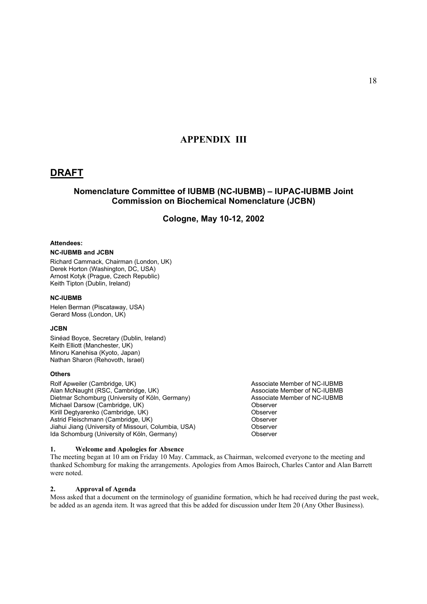# **APPENDIX III**

# **DRAFT**

# **Nomenclature Committee of IUBMB (NC-IUBMB) – IUPAC-IUBMB Joint Commission on Biochemical Nomenclature (JCBN)**

## **Cologne, May 10-12, 2002**

#### **Attendees:**

#### **NC-IUBMB and JCBN**

Richard Cammack, Chairman (London, UK) Derek Horton (Washington, DC, USA) Arnost Kotyk (Prague, Czech Republic) Keith Tipton (Dublin, Ireland)

#### **NC-IUBMB**

Helen Berman (Piscataway, USA) Gerard Moss (London, UK)

#### **JCBN**

Sinéad Boyce, Secretary (Dublin, Ireland) Keith Elliott (Manchester, UK) Minoru Kanehisa (Kyoto, Japan) Nathan Sharon (Rehovoth, Israel)

#### **Others**

Rolf Apweiler (Cambridge, UK) <br>Alan McNaught (RSC, Cambridge, UK) Associate Member of NC-IUBMB Alan McNaught (RSC, Cambridge, UK) Dietmar Schomburg (University of Köln, Germany) Associate Member of NC-IUBMB<br>
Michael Darsow (Cambridge, UK) Charles Cheever Michael Darsow (Cambridge, UK) Kirill Degtyarenko (Cambridge, UK)<br>Astrid Fleischmann (Cambridge, UK) Observer Astrid Fleischmann (Cambridge, UK)<br>
Jiahui Jiang (University of Missouri, Columbia, USA) (Observer Jiahui Jiang (University of Missouri, Columbia, USA) Ida Schomburg (University of Köln, Germany) Observer

#### **1. Welcome and Apologies for Absence**

The meeting began at 10 am on Friday 10 May. Cammack, as Chairman, welcomed everyone to the meeting and thanked Schomburg for making the arrangements. Apologies from Amos Bairoch, Charles Cantor and Alan Barrett were noted.

#### **2. Approval of Agenda**

Moss asked that a document on the terminology of guanidine formation, which he had received during the past week, be added as an agenda item. It was agreed that this be added for discussion under Item 20 (Any Other Business).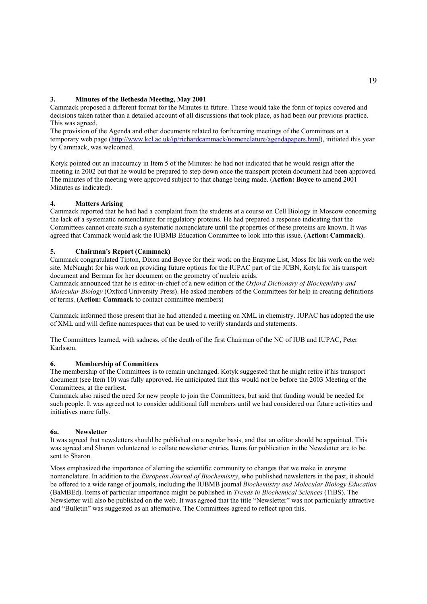#### **3. Minutes of the Bethesda Meeting, May 2001**

Cammack proposed a different format for the Minutes in future. These would take the form of topics covered and decisions taken rather than a detailed account of all discussions that took place, as had been our previous practice. This was agreed.

The provision of the Agenda and other documents related to forthcoming meetings of the Committees on a temporary web page [\(http://www.kcl.ac.uk/ip/richardcammack/nomenclature/agendapapers.htm](http://www.kcl.ac.uk/ip/richardcammack/nomenclature/agendapapers.html)l), initiated this year by Cammack, was welcomed.

Kotyk pointed out an inaccuracy in Item 5 of the Minutes: he had not indicated that he would resign after the meeting in 2002 but that he would be prepared to step down once the transport protein document had been approved. The minutes of the meeting were approved subject to that change being made. (**Action: Boyce** to amend 2001 Minutes as indicated).

#### **4. Matters Arising**

Cammack reported that he had had a complaint from the students at a course on Cell Biology in Moscow concerning the lack of a systematic nomenclature for regulatory proteins. He had prepared a response indicating that the Committees cannot create such a systematic nomenclature until the properties of these proteins are known. It was agreed that Cammack would ask the IUBMB Education Committee to look into this issue. (**Action: Cammack**).

#### **5. Chairman's Report (Cammack)**

Cammack congratulated Tipton, Dixon and Boyce for their work on the Enzyme List, Moss for his work on the web site, McNaught for his work on providing future options for the IUPAC part of the JCBN, Kotyk for his transport document and Berman for her document on the geometry of nucleic acids.

Cammack announced that he is editor-in-chief of a new edition of the *Oxford Dictionary of Biochemistry and Molecular Biology* (Oxford University Press). He asked members of the Committees for help in creating definitions of terms. (**Action: Cammack** to contact committee members)

Cammack informed those present that he had attended a meeting on XML in chemistry. IUPAC has adopted the use of XML and will define namespaces that can be used to verify standards and statements.

The Committees learned, with sadness, of the death of the first Chairman of the NC of IUB and IUPAC, Peter Karlsson.

#### **6. Membership of Committees**

The membership of the Committees is to remain unchanged. Kotyk suggested that he might retire if his transport document (see Item 10) was fully approved. He anticipated that this would not be before the 2003 Meeting of the Committees, at the earliest.

Cammack also raised the need for new people to join the Committees, but said that funding would be needed for such people. It was agreed not to consider additional full members until we had considered our future activities and initiatives more fully.

#### **6a. Newsletter**

It was agreed that newsletters should be published on a regular basis, and that an editor should be appointed. This was agreed and Sharon volunteered to collate newsletter entries. Items for publication in the Newsletter are to be sent to Sharon.

Moss emphasized the importance of alerting the scientific community to changes that we make in enzyme nomenclature. In addition to the *European Journal of Biochemistry*, who published newsletters in the past, it should be offered to a wide range of journals, including the IUBMB journal *Biochemistry and Molecular Biology Education* (BaMBEd). Items of particular importance might be published in *Trends in Biochemical Sciences* (TiBS). The Newsletter will also be published on the web. It was agreed that the title "Newsletter" was not particularly attractive and "Bulletin" was suggested as an alternative. The Committees agreed to reflect upon this.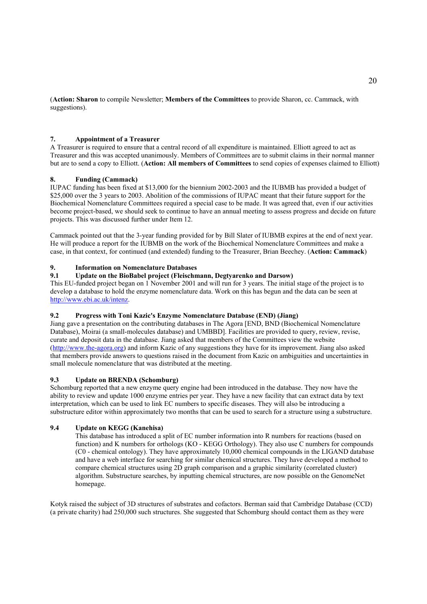(**Action: Sharon** to compile Newsletter; **Members of the Committees** to provide Sharon, cc. Cammack, with suggestions).

#### **7. Appointment of a Treasurer**

A Treasurer is required to ensure that a central record of all expenditure is maintained. Elliott agreed to act as Treasurer and this was accepted unanimously. Members of Committees are to submit claims in their normal manner but are to send a copy to Elliott. (**Action: All members of Committees** to send copies of expenses claimed to Elliott)

#### **8. Funding (Cammack)**

IUPAC funding has been fixed at \$13,000 for the biennium 2002-2003 and the IUBMB has provided a budget of \$25,000 over the 3 years to 2003. Abolition of the commissions of IUPAC meant that their future support for the Biochemical Nomenclature Committees required a special case to be made. It was agreed that, even if our activities become project-based, we should seek to continue to have an annual meeting to assess progress and decide on future projects. This was discussed further under Item 12.

Cammack pointed out that the 3-year funding provided for by Bill Slater of IUBMB expires at the end of next year. He will produce a report for the IUBMB on the work of the Biochemical Nomenclature Committees and make a case, in that context, for continued (and extended) funding to the Treasurer, Brian Beechey. (**Action: Cammack**)

#### **9. Information on Nomenclature Databases**

#### **9.1 Update on the BioBabel project (Fleischmann, Degtyarenko and Darsow)**

This EU-funded project began on 1 November 2001 and will run for 3 years. The initial stage of the project is to develop a database to hold the enzyme nomenclature data. Work on this has begun and the data can be seen at [http://www.ebi.ac.uk/intenz.](http://www.ebi.ac.uk/intenz) 

#### **9.2 Progress with Toni Kazic's Enzyme Nomenclature Database (END) (Jiang)**

Jiang gave a presentation on the contributing databases in The Agora [END, BND (Biochemical Nomenclature Database), Moirai (a small-molecules database) and UMBBD]. Facilities are provided to query, review, revise, curate and deposit data in the database. Jiang asked that members of the Committees view the website [\(http://www.the-agora.org\)](http://www.the-agora.org) and inform Kazic of any suggestions they have for its improvement. Jiang also asked that members provide answers to questions raised in the document from Kazic on ambiguities and uncertainties in small molecule nomenclature that was distributed at the meeting.

#### **9.3 Update on BRENDA (Schomburg)**

Schomburg reported that a new enzyme query engine had been introduced in the database. They now have the ability to review and update 1000 enzyme entries per year. They have a new facility that can extract data by text interpretation, which can be used to link EC numbers to specific diseases. They will also be introducing a substructure editor within approximately two months that can be used to search for a structure using a substructure.

#### **9.4 Update on KEGG (Kanehisa)**

This database has introduced a split of EC number information into R numbers for reactions (based on function) and K numbers for orthologs (KO - KEGG Orthology). They also use C numbers for compounds (C0 - chemical ontology). They have approximately 10,000 chemical compounds in the LIGAND database and have a web interface for searching for similar chemical structures. They have developed a method to compare chemical structures using 2D graph comparison and a graphic similarity (correlated cluster) algorithm. Substructure searches, by inputting chemical structures, are now possible on the GenomeNet homepage.

Kotyk raised the subject of 3D structures of substrates and cofactors. Berman said that Cambridge Database (CCD) (a private charity) had 250,000 such structures. She suggested that Schomburg should contact them as they were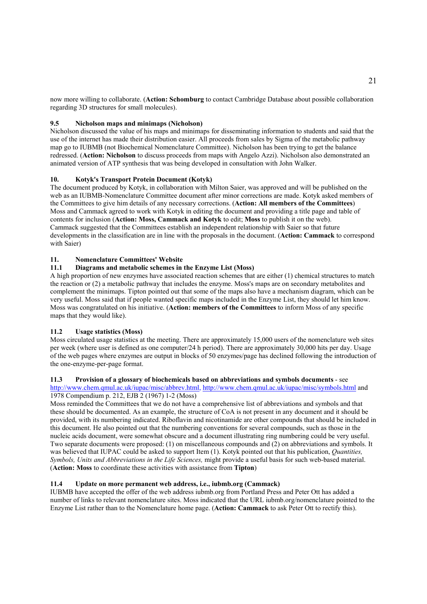now more willing to collaborate. (**Action: Schomburg** to contact Cambridge Database about possible collaboration regarding 3D structures for small molecules).

#### **9.5 Nicholson maps and minimaps (Nicholson)**

Nicholson discussed the value of his maps and minimaps for disseminating information to students and said that the use of the internet has made their distribution easier. All proceeds from sales by Sigma of the metabolic pathway map go to IUBMB (not Biochemical Nomenclature Committee). Nicholson has been trying to get the balance redressed. (**Action: Nicholson** to discuss proceeds from maps with Angelo Azzi). Nicholson also demonstrated an animated version of ATP synthesis that was being developed in consultation with John Walker.

#### **10. Kotyk's Transport Protein Document (Kotyk)**

The document produced by Kotyk, in collaboration with Milton Saier, was approved and will be published on the web as an IUBMB-Nomenclature Committee document after minor corrections are made. Kotyk asked members of the Committees to give him details of any necessary corrections. (**Action: All members of the Committees**) Moss and Cammack agreed to work with Kotyk in editing the document and providing a title page and table of contents for inclusion (**Action: Moss, Cammack and Kotyk** to edit; **Moss** to publish it on the web). Cammack suggested that the Committees establish an independent relationship with Saier so that future developments in the classification are in line with the proposals in the document. (**Action: Cammack** to correspond with Saier)

#### **11. Nomenclature Committees' Website**

#### **11.1 Diagrams and metabolic schemes in the Enzyme List (Moss)**

A high proportion of new enzymes have associated reaction schemes that are either (1) chemical structures to match the reaction or (2) a metabolic pathway that includes the enzyme. Moss's maps are on secondary metabolites and complement the minimaps. Tipton pointed out that some of the maps also have a mechanism diagram, which can be very useful. Moss said that if people wanted specific maps included in the Enzyme List, they should let him know. Moss was congratulated on his initiative. (**Action: members of the Committees** to inform Moss of any specific maps that they would like).

#### **11.2 Usage statistics (Moss)**

Moss circulated usage statistics at the meeting. There are approximately 15,000 users of the nomenclature web sites per week (where user is defined as one computer/24 h period). There are approximately 30,000 hits per day. Usage of the web pages where enzymes are output in blocks of 50 enzymes/page has declined following the introduction of the one-enzyme-per-page format.

#### **11.3 Provision of a glossary of biochemicals based on abbreviations and symbols documents** - see

[http://www.chem.qmul.ac.uk/iupac/misc/abbrev.html,](http://www.chem.qmul.ac.uk/iupac/misc/abbrev.html) <http://www.chem.qmul.ac.uk/iupac/misc/symbols.html> and 1978 Compendium p. 212, EJB 2 (1967) 1-2 (Moss)

Moss reminded the Committees that we do not have a comprehensive list of abbreviations and symbols and that these should be documented. As an example, the structure of CoA is not present in any document and it should be provided, with its numbering indicated. Riboflavin and nicotinamide are other compounds that should be included in this document. He also pointed out that the numbering conventions for several compounds, such as those in the nucleic acids document, were somewhat obscure and a document illustrating ring numbering could be very useful. Two separate documents were proposed: (1) on miscellaneous compounds and (2) on abbreviations and symbols. It was believed that IUPAC could be asked to support Item (1). Kotyk pointed out that his publication, *Quantities*, *Symbols, Units and Abbreviations in the Life Sciences,* might provide a useful basis for such web-based material. (**Action: Moss** to coordinate these activities with assistance from **Tipton**)

#### **11.4 Update on more permanent web address, i.e., iubmb.org (Cammack)**

IUBMB have accepted the offer of the web address iubmb.org from Portland Press and Peter Ott has added a number of links to relevant nomenclature sites. Moss indicated that the URL iubmb.org/nomenclature pointed to the Enzyme List rather than to the Nomenclature home page. (**Action: Cammack** to ask Peter Ott to rectify this).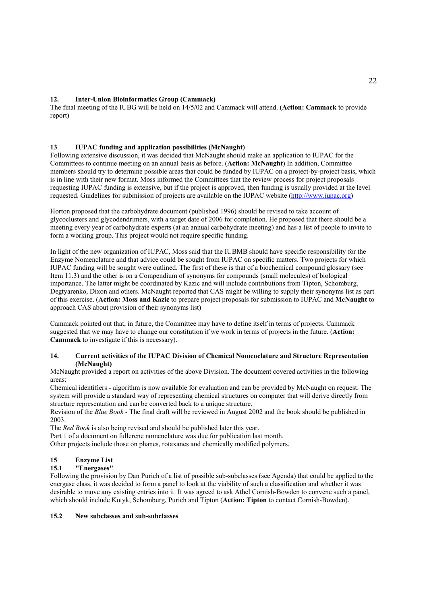#### **12. Inter-Union Bioinformatics Group (Cammack)**

The final meeting of the IUBG will be held on 14/5/02 and Cammack will attend. (**Action: Cammack** to provide report)

#### **13 IUPAC funding and application possibilities (McNaught)**

Following extensive discussion, it was decided that McNaught should make an application to IUPAC for the Committees to continue meeting on an annual basis as before. (**Action: McNaught**) In addition, Committee members should try to determine possible areas that could be funded by IUPAC on a project-by-project basis, which is in line with their new format. Moss informed the Committees that the review process for project proposals requesting IUPAC funding is extensive, but if the project is approved, then funding is usually provided at the level requested. Guidelines for submission of projects are available on the IUPAC website ([http://www.iupac.org\)](http://www.iupac.org)

Horton proposed that the carbohydrate document (published 1996) should be revised to take account of glycoclusters and glycodendrimers, with a target date of 2006 for completion. He proposed that there should be a meeting every year of carbohydrate experts (at an annual carbohydrate meeting) and has a list of people to invite to form a working group. This project would not require specific funding.

In light of the new organization of IUPAC, Moss said that the IUBMB should have specific responsibility for the Enzyme Nomenclature and that advice could be sought from IUPAC on specific matters. Two projects for which IUPAC funding will be sought were outlined. The first of these is that of a biochemical compound glossary (see Item 11.3) and the other is on a Compendium of synonyms for compounds (small molecules) of biological importance. The latter might be coordinated by Kazic and will include contributions from Tipton, Schomburg, Degtyarenko, Dixon and others. McNaught reported that CAS might be willing to supply their synonyms list as part of this exercise. (**Action: Moss and Kazic** to prepare project proposals for submission to IUPAC and **McNaught** to approach CAS about provision of their synonyms list)

Cammack pointed out that, in future, the Committee may have to define itself in terms of projects. Cammack suggested that we may have to change our constitution if we work in terms of projects in the future. (**Action: Cammack** to investigate if this is necessary).

#### **14. Current activities of the IUPAC Division of Chemical Nomenclature and Structure Representation (McNaught)**

McNaught provided a report on activities of the above Division. The document covered activities in the following areas:

Chemical identifiers - algorithm is now available for evaluation and can be provided by McNaught on request. The system will provide a standard way of representing chemical structures on computer that will derive directly from structure representation and can be converted back to a unique structure.

Revision of the *Blue Book* - The final draft will be reviewed in August 2002 and the book should be published in 2003.

The *Red Book* is also being revised and should be published later this year.

Part 1 of a document on fullerene nomenclature was due for publication last month.

Other projects include those on phanes, rotaxanes and chemically modified polymers.

#### **15 Enzyme List 15.1 "Energases"**

Following the provision by Dan Purich of a list of possible sub-subclasses (see Agenda) that could be applied to the energase class, it was decided to form a panel to look at the viability of such a classification and whether it was desirable to move any existing entries into it. It was agreed to ask Athel Cornish-Bowden to convene such a panel, which should include Kotyk, Schomburg, Purich and Tipton (**Action: Tipton** to contact Cornish-Bowden).

#### **15.2 New subclasses and sub-subclasses**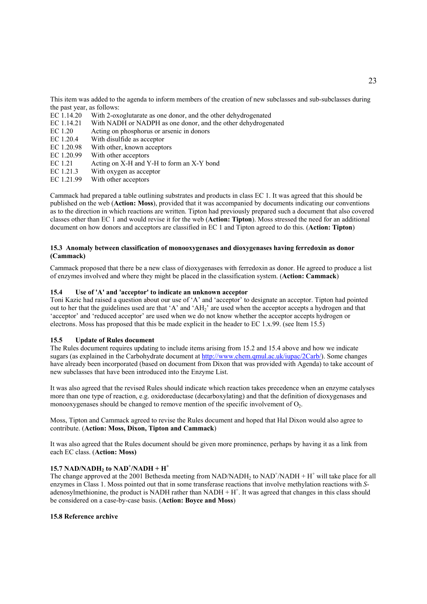This item was added to the agenda to inform members of the creation of new subclasses and sub-subclasses during the past year, as follows:

- EC 1.14.20 With 2-oxoglutarate as one donor, and the other dehydrogenated<br>EC 1.14.21 With NADH or NADPH as one donor, and the other dehydrogen
- With NADH or NADPH as one donor, and the other dehydrogenated
- EC 1.20 Acting on phosphorus or arsenic in donors
- EC 1.20.4 With disulfide as acceptor
- EC 1.20.98 With other, known acceptors
- EC 1.20.99 With other acceptors
- EC 1.21 Acting on X-H and Y-H to form an X-Y bond
- EC 1.21.3 With oxygen as acceptor
- EC 1.21.99 With other acceptors

Cammack had prepared a table outlining substrates and products in class EC 1. It was agreed that this should be published on the web (**Action: Moss**), provided that it was accompanied by documents indicating our conventions as to the direction in which reactions are written. Tipton had previously prepared such a document that also covered classes other than EC 1 and would revise it for the web (**Action: Tipton**). Moss stressed the need for an additional document on how donors and acceptors are classified in EC 1 and Tipton agreed to do this. (**Action: Tipton**)

#### **15.3 Anomaly between classification of monooxygenases and dioxygenases having ferredoxin as donor (Cammack)**

Cammack proposed that there be a new class of dioxygenases with ferredoxin as donor. He agreed to produce a list of enzymes involved and where they might be placed in the classification system. (**Action: Cammack**)

#### **15.4 Use of 'A' and 'acceptor' to indicate an unknown acceptor**

Toni Kazic had raised a question about our use of 'A' and 'acceptor' to designate an acceptor. Tipton had pointed out to her that the guidelines used are that 'A' and 'AH2' are used when the acceptor accepts a hydrogen and that 'acceptor' and 'reduced acceptor' are used when we do not know whether the acceptor accepts hydrogen or electrons. Moss has proposed that this be made explicit in the header to EC 1.x.99. (see Item 15.5)

#### **15.5 Update of Rules document**

The Rules document requires updating to include items arising from 15.2 and 15.4 above and how we indicate sugars (as explained in the Carbohydrate document at [http://www.chem.qmul.ac.uk/iupac/2Carb](http://www.chem.qmul.ac.uk/iupac/2Carb/)/). Some changes have already been incorporated (based on document from Dixon that was provided with Agenda) to take account of new subclasses that have been introduced into the Enzyme List.

It was also agreed that the revised Rules should indicate which reaction takes precedence when an enzyme catalyses more than one type of reaction, e.g. oxidoreductase (decarboxylating) and that the definition of dioxygenases and monooxygenases should be changed to remove mention of the specific involvement of  $O<sub>2</sub>$ .

Moss, Tipton and Cammack agreed to revise the Rules document and hoped that Hal Dixon would also agree to contribute. (**Action: Moss, Dixon, Tipton and Cammack**)

It was also agreed that the Rules document should be given more prominence, perhaps by having it as a link from each EC class. (**Action: Moss)** 

#### **15.7 NAD/NADH<sub>2</sub> to NAD<sup>+</sup>/NADH + H<sup>+</sup>**

The change approved at the 2001 Bethesda meeting from  $NAD/NADH_2$  to  $NAD^+/NADH + H^+$  will take place for all enzymes in Class 1. Moss pointed out that in some transferase reactions that involve methylation reactions with *S*adenosylmethionine, the product is NADH rather than  $NADH + H^+$ . It was agreed that changes in this class should be considered on a case-by-case basis. (**Action: Boyce and Moss**)

#### **15.8 Reference archive**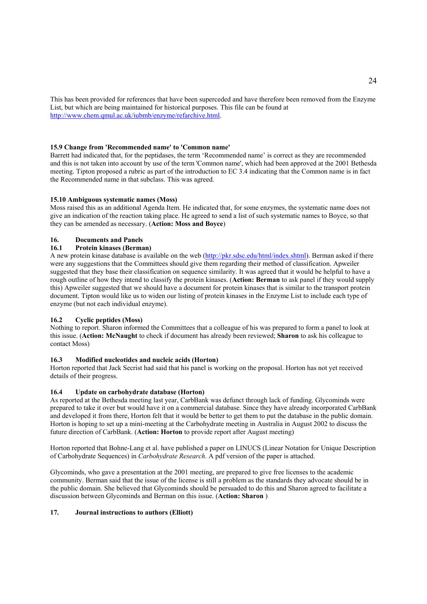This has been provided for references that have been superceded and have therefore been removed from the Enzyme List, but which are being maintained for historical purposes. This file can be found at [http://www.chem.qmul.ac.uk/iubmb/enzyme/refarchive.html.](http://www.chem.qmul.ac.uk/iubmb/enzyme/refarchive.html) 

#### **15.9 Change from 'Recommended name' to 'Common name'**

Barrett had indicated that, for the peptidases, the term 'Recommended name' is correct as they are recommended and this is not taken into account by use of the term 'Common name', which had been approved at the 2001 Bethesda meeting. Tipton proposed a rubric as part of the introduction to EC 3.4 indicating that the Common name is in fact the Recommended name in that subclass. This was agreed.

#### **15.10 Ambiguous systematic names (Moss)**

Moss raised this as an additional Agenda Item. He indicated that, for some enzymes, the systematic name does not give an indication of the reaction taking place. He agreed to send a list of such systematic names to Boyce, so that they can be amended as necessary. (**Action: Moss and Boyce**)

#### **16. Documents and Panels**

#### **16.1 Protein kinases (Berman)**

A new protein kinase database is available on the web [\(http://pkr.sdsc.edu/html/index.shtm](http://pkr.sdsc.edu/html/index.shtml)l). Berman asked if there were any suggestions that the Committees should give them regarding their method of classification. Apweiler suggested that they base their classification on sequence similarity. It was agreed that it would be helpful to have a rough outline of how they intend to classify the protein kinases. (**Action: Berman** to ask panel if they would supply this) Apweiler suggested that we should have a document for protein kinases that is similar to the transport protein document. Tipton would like us to widen our listing of protein kinases in the Enzyme List to include each type of enzyme (but not each individual enzyme).

#### **16.2 Cyclic peptides (Moss)**

Nothing to report. Sharon informed the Committees that a colleague of his was prepared to form a panel to look at this issue. (**Action: McNaught** to check if document has already been reviewed; **Sharon** to ask his colleague to contact Moss)

#### **16.3 Modified nucleotides and nucleic acids (Horton)**

Horton reported that Jack Secrist had said that his panel is working on the proposal. Horton has not yet received details of their progress.

#### **16.4 Update on carbohydrate database (Horton)**

As reported at the Bethesda meeting last year, CarbBank was defunct through lack of funding. Glycominds were prepared to take it over but would have it on a commercial database. Since they have already incorporated CarbBank and developed it from there, Horton felt that it would be better to get them to put the database in the public domain. Horton is hoping to set up a mini-meeting at the Carbohydrate meeting in Australia in August 2002 to discuss the future direction of CarbBank. (**Action: Horton** to provide report after August meeting)

Horton reported that Bohne-Lang et al. have published a paper on LINUCS (Linear Notation for Unique Description of Carbohydrate Sequences) in *Carbohydrate Research*. A pdf version of the paper is attached.

Glycominds, who gave a presentation at the 2001 meeting, are prepared to give free licenses to the academic community. Berman said that the issue of the license is still a problem as the standards they advocate should be in the public domain. She believed that Glycominds should be persuaded to do this and Sharon agreed to facilitate a discussion between Glycominds and Berman on this issue. (**Action: Sharon** )

#### **17. Journal instructions to authors (Elliott)**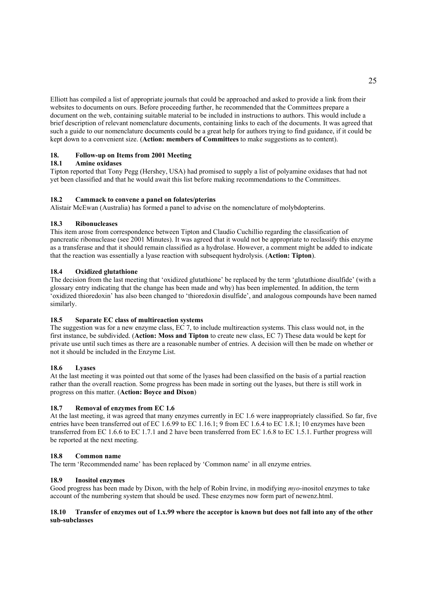Elliott has compiled a list of appropriate journals that could be approached and asked to provide a link from their websites to documents on ours. Before proceeding further, he recommended that the Committees prepare a document on the web, containing suitable material to be included in instructions to authors. This would include a brief description of relevant nomenclature documents, containing links to each of the documents. It was agreed that such a guide to our nomenclature documents could be a great help for authors trying to find guidance, if it could be kept down to a convenient size. (**Action: members of Committees** to make suggestions as to content).

#### **18. Follow-up on Items from 2001 Meeting**

#### **18.1 Amine oxidases**

Tipton reported that Tony Pegg (Hershey, USA) had promised to supply a list of polyamine oxidases that had not yet been classified and that he would await this list before making recommendations to the Committees.

#### **18.2 Cammack to convene a panel on folates/pterins**

Alistair McEwan (Australia) has formed a panel to advise on the nomenclature of molybdopterins.

#### **18.3 Ribonucleases**

This item arose from correspondence between Tipton and Claudio Cuchillio regarding the classification of pancreatic ribonuclease (see 2001 Minutes). It was agreed that it would not be appropriate to reclassify this enzyme as a transferase and that it should remain classified as a hydrolase. However, a comment might be added to indicate that the reaction was essentially a lyase reaction with subsequent hydrolysis. (**Action: Tipton**).

#### **18.4 Oxidized glutathione**

The decision from the last meeting that 'oxidized glutathione' be replaced by the term 'glutathione disulfide' (with a glossary entry indicating that the change has been made and why) has been implemented. In addition, the term 'oxidized thioredoxin' has also been changed to 'thioredoxin disulfide', and analogous compounds have been named similarly.

#### **18.5 Separate EC class of multireaction systems**

The suggestion was for a new enzyme class, EC 7, to include multireaction systems. This class would not, in the first instance, be subdivided. (**Action: Moss and Tipton** to create new class, EC 7) These data would be kept for private use until such times as there are a reasonable number of entries. A decision will then be made on whether or not it should be included in the Enzyme List.

#### **18.6 Lyases**

At the last meeting it was pointed out that some of the lyases had been classified on the basis of a partial reaction rather than the overall reaction. Some progress has been made in sorting out the lyases, but there is still work in progress on this matter. (**Action: Boyce and Dixon**)

#### **18.7 Removal of enzymes from EC 1.6**

At the last meeting, it was agreed that many enzymes currently in EC 1.6 were inappropriately classified. So far, five entries have been transferred out of EC 1.6.99 to EC 1.16.1; 9 from EC 1.6.4 to EC 1.8.1; 10 enzymes have been transferred from EC 1.6.6 to EC 1.7.1 and 2 have been transferred from EC 1.6.8 to EC 1.5.1. Further progress will be reported at the next meeting.

#### **18.8 Common name**

The term 'Recommended name' has been replaced by 'Common name' in all enzyme entries.

#### **18.9 Inositol enzymes**

Good progress has been made by Dixon, with the help of Robin Irvine, in modifying *myo*-inositol enzymes to take account of the numbering system that should be used. These enzymes now form part of newenz.html.

#### **18.10 Transfer of enzymes out of 1.x.99 where the acceptor is known but does not fall into any of the other sub-subclasses**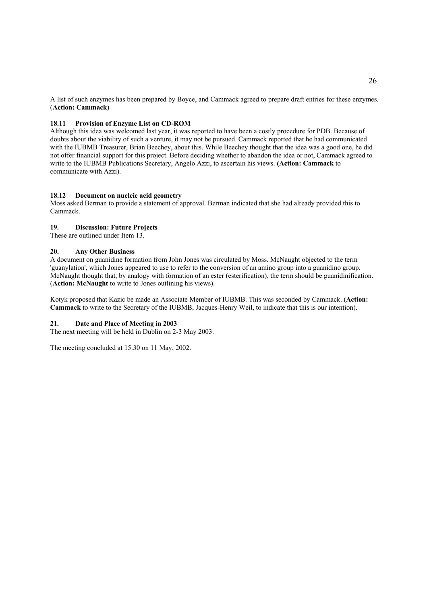A list of such enzymes has been prepared by Boyce, and Cammack agreed to prepare draft entries for these enzymes. (**Action: Cammack**)

#### **18.11 Provision of Enzyme List on CD-ROM**

Although this idea was welcomed last year, it was reported to have been a costly procedure for PDB. Because of doubts about the viability of such a venture, it may not be pursued. Cammack reported that he had communicated with the IUBMB Treasurer, Brian Beechey, about this. While Beechey thought that the idea was a good one, he did not offer financial support for this project. Before deciding whether to abandon the idea or not, Cammack agreed to write to the IUBMB Publications Secretary, Angelo Azzi, to ascertain his views. **(Action: Cammack** to communicate with Azzi).

#### **18.12 Document on nucleic acid geometry**

Moss asked Berman to provide a statement of approval. Berman indicated that she had already provided this to Cammack.

#### **19. Discussion: Future Projects**

These are outlined under Item 13.

#### **20. Any Other Business**

A document on guanidine formation from John Jones was circulated by Moss. McNaught objected to the term 'guanylation', which Jones appeared to use to refer to the conversion of an amino group into a guanidino group. McNaught thought that, by analogy with formation of an ester (esterification), the term should be guanidinification. (**Action: McNaught** to write to Jones outlining his views).

Kotyk proposed that Kazic be made an Associate Member of IUBMB. This was seconded by Cammack. (**Action: Cammack** to write to the Secretary of the IUBMB, Jacques-Henry Weil, to indicate that this is our intention).

#### **21. Date and Place of Meeting in 2003**

The next meeting will be held in Dublin on 2-3 May 2003.

The meeting concluded at 15.30 on 11 May, 2002.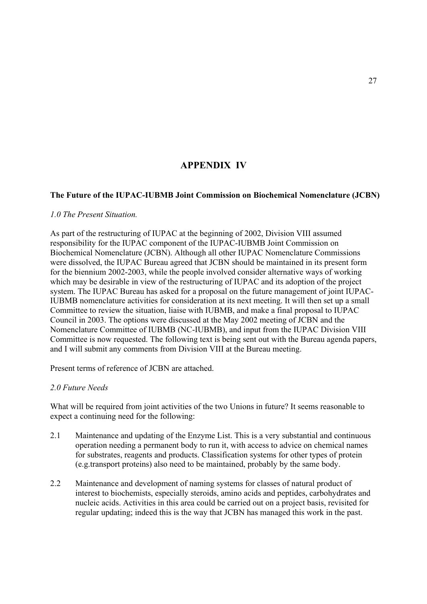# **APPENDIX IV**

### **The Future of the IUPAC-IUBMB Joint Commission on Biochemical Nomenclature (JCBN)**

#### *1.0 The Present Situation.*

As part of the restructuring of IUPAC at the beginning of 2002, Division VIII assumed responsibility for the IUPAC component of the IUPAC-IUBMB Joint Commission on Biochemical Nomenclature (JCBN). Although all other IUPAC Nomenclature Commissions were dissolved, the IUPAC Bureau agreed that JCBN should be maintained in its present form for the biennium 2002-2003, while the people involved consider alternative ways of working which may be desirable in view of the restructuring of IUPAC and its adoption of the project system. The IUPAC Bureau has asked for a proposal on the future management of joint IUPAC-IUBMB nomenclature activities for consideration at its next meeting. It will then set up a small Committee to review the situation, liaise with IUBMB, and make a final proposal to IUPAC Council in 2003. The options were discussed at the May 2002 meeting of JCBN and the Nomenclature Committee of IUBMB (NC-IUBMB), and input from the IUPAC Division VIII Committee is now requested. The following text is being sent out with the Bureau agenda papers, and I will submit any comments from Division VIII at the Bureau meeting.

Present terms of reference of JCBN are attached.

#### *2.0 Future Needs*

What will be required from joint activities of the two Unions in future? It seems reasonable to expect a continuing need for the following:

- 2.1 Maintenance and updating of the Enzyme List. This is a very substantial and continuous operation needing a permanent body to run it, with access to advice on chemical names for substrates, reagents and products. Classification systems for other types of protein (e.g.transport proteins) also need to be maintained, probably by the same body.
- 2.2 Maintenance and development of naming systems for classes of natural product of interest to biochemists, especially steroids, amino acids and peptides, carbohydrates and nucleic acids. Activities in this area could be carried out on a project basis, revisited for regular updating; indeed this is the way that JCBN has managed this work in the past.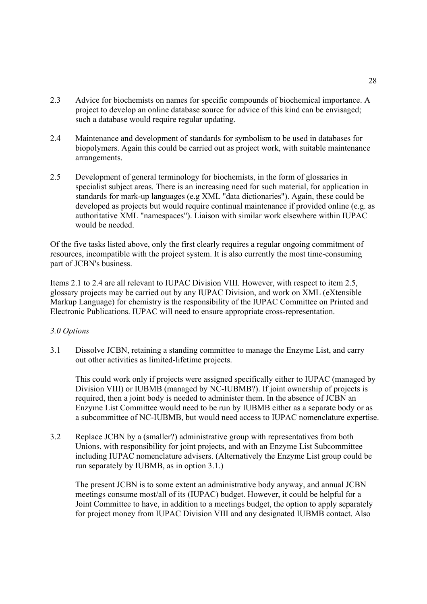- 2.3 Advice for biochemists on names for specific compounds of biochemical importance. A project to develop an online database source for advice of this kind can be envisaged; such a database would require regular updating.
- 2.4 Maintenance and development of standards for symbolism to be used in databases for biopolymers. Again this could be carried out as project work, with suitable maintenance arrangements.
- 2.5 Development of general terminology for biochemists, in the form of glossaries in specialist subject areas. There is an increasing need for such material, for application in standards for mark-up languages (e.g XML "data dictionaries"). Again, these could be developed as projects but would require continual maintenance if provided online (e.g. as authoritative XML "namespaces"). Liaison with similar work elsewhere within IUPAC would be needed.

Of the five tasks listed above, only the first clearly requires a regular ongoing commitment of resources, incompatible with the project system. It is also currently the most time-consuming part of JCBN's business.

Items 2.1 to 2.4 are all relevant to IUPAC Division VIII. However, with respect to item 2.5, glossary projects may be carried out by any IUPAC Division, and work on XML (eXtensible Markup Language) for chemistry is the responsibility of the IUPAC Committee on Printed and Electronic Publications. IUPAC will need to ensure appropriate cross-representation.

# *3.0 Options*

3.1 Dissolve JCBN, retaining a standing committee to manage the Enzyme List, and carry out other activities as limited-lifetime projects.

This could work only if projects were assigned specifically either to IUPAC (managed by Division VIII) or IUBMB (managed by NC-IUBMB?). If joint ownership of projects is required, then a joint body is needed to administer them. In the absence of JCBN an Enzyme List Committee would need to be run by IUBMB either as a separate body or as a subcommittee of NC-IUBMB, but would need access to IUPAC nomenclature expertise.

3.2 Replace JCBN by a (smaller?) administrative group with representatives from both Unions, with responsibility for joint projects, and with an Enzyme List Subcommittee including IUPAC nomenclature advisers. (Alternatively the Enzyme List group could be run separately by IUBMB, as in option 3.1.)

The present JCBN is to some extent an administrative body anyway, and annual JCBN meetings consume most/all of its (IUPAC) budget. However, it could be helpful for a Joint Committee to have, in addition to a meetings budget, the option to apply separately for project money from IUPAC Division VIII and any designated IUBMB contact. Also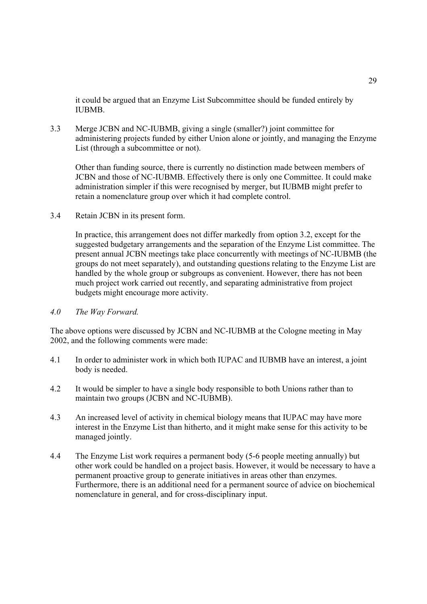it could be argued that an Enzyme List Subcommittee should be funded entirely by IUBMB.

3.3 Merge JCBN and NC-IUBMB, giving a single (smaller?) joint committee for administering projects funded by either Union alone or jointly, and managing the Enzyme List (through a subcommittee or not).

Other than funding source, there is currently no distinction made between members of JCBN and those of NC-IUBMB. Effectively there is only one Committee. It could make administration simpler if this were recognised by merger, but IUBMB might prefer to retain a nomenclature group over which it had complete control.

3.4 Retain JCBN in its present form.

In practice, this arrangement does not differ markedly from option 3.2, except for the suggested budgetary arrangements and the separation of the Enzyme List committee. The present annual JCBN meetings take place concurrently with meetings of NC-IUBMB (the groups do not meet separately), and outstanding questions relating to the Enzyme List are handled by the whole group or subgroups as convenient. However, there has not been much project work carried out recently, and separating administrative from project budgets might encourage more activity.

*4.0 The Way Forward.* 

The above options were discussed by JCBN and NC-IUBMB at the Cologne meeting in May 2002, and the following comments were made:

- 4.1 In order to administer work in which both IUPAC and IUBMB have an interest, a joint body is needed.
- 4.2 It would be simpler to have a single body responsible to both Unions rather than to maintain two groups (JCBN and NC-IUBMB).
- 4.3 An increased level of activity in chemical biology means that IUPAC may have more interest in the Enzyme List than hitherto, and it might make sense for this activity to be managed jointly.
- 4.4 The Enzyme List work requires a permanent body (5-6 people meeting annually) but other work could be handled on a project basis. However, it would be necessary to have a permanent proactive group to generate initiatives in areas other than enzymes. Furthermore, there is an additional need for a permanent source of advice on biochemical nomenclature in general, and for cross-disciplinary input.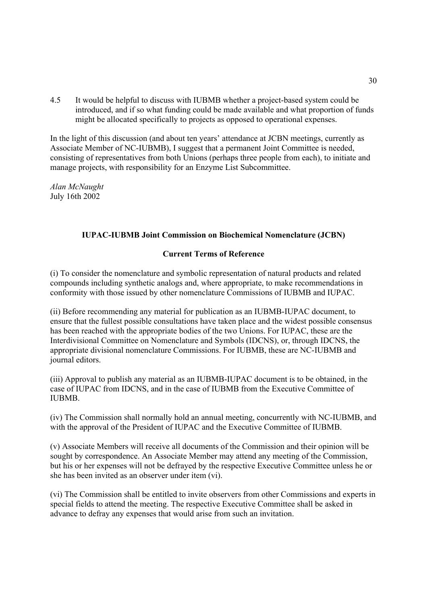4.5 It would be helpful to discuss with IUBMB whether a project-based system could be introduced, and if so what funding could be made available and what proportion of funds might be allocated specifically to projects as opposed to operational expenses.

In the light of this discussion (and about ten years' attendance at JCBN meetings, currently as Associate Member of NC-IUBMB), I suggest that a permanent Joint Committee is needed, consisting of representatives from both Unions (perhaps three people from each), to initiate and manage projects, with responsibility for an Enzyme List Subcommittee.

*Alan McNaught*  July 16th 2002

# **IUPAC-IUBMB Joint Commission on Biochemical Nomenclature (JCBN)**

#### **Current Terms of Reference**

(i) To consider the nomenclature and symbolic representation of natural products and related compounds including synthetic analogs and, where appropriate, to make recommendations in conformity with those issued by other nomenclature Commissions of IUBMB and IUPAC.

(ii) Before recommending any material for publication as an IUBMB-IUPAC document, to ensure that the fullest possible consultations have taken place and the widest possible consensus has been reached with the appropriate bodies of the two Unions. For IUPAC, these are the Interdivisional Committee on Nomenclature and Symbols (IDCNS), or, through IDCNS, the appropriate divisional nomenclature Commissions. For IUBMB, these are NC-IUBMB and journal editors.

(iii) Approval to publish any material as an IUBMB-IUPAC document is to be obtained, in the case of IUPAC from IDCNS, and in the case of IUBMB from the Executive Committee of IUBMB.

(iv) The Commission shall normally hold an annual meeting, concurrently with NC-IUBMB, and with the approval of the President of IUPAC and the Executive Committee of IUBMB.

(v) Associate Members will receive all documents of the Commission and their opinion will be sought by correspondence. An Associate Member may attend any meeting of the Commission, but his or her expenses will not be defrayed by the respective Executive Committee unless he or she has been invited as an observer under item (vi).

(vi) The Commission shall be entitled to invite observers from other Commissions and experts in special fields to attend the meeting. The respective Executive Committee shall be asked in advance to defray any expenses that would arise from such an invitation.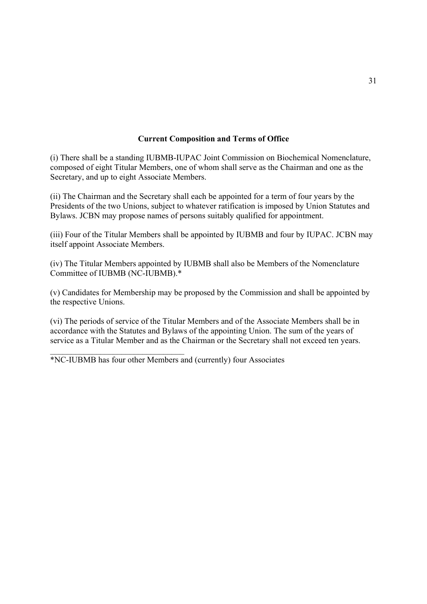# **Current Composition and Terms of Office**

(i) There shall be a standing IUBMB-IUPAC Joint Commission on Biochemical Nomenclature, composed of eight Titular Members, one of whom shall serve as the Chairman and one as the Secretary, and up to eight Associate Members.

(ii) The Chairman and the Secretary shall each be appointed for a term of four years by the Presidents of the two Unions, subject to whatever ratification is imposed by Union Statutes and Bylaws. JCBN may propose names of persons suitably qualified for appointment.

(iii) Four of the Titular Members shall be appointed by IUBMB and four by IUPAC. JCBN may itself appoint Associate Members.

(iv) The Titular Members appointed by IUBMB shall also be Members of the Nomenclature Committee of IUBMB (NC-IUBMB).\*

(v) Candidates for Membership may be proposed by the Commission and shall be appointed by the respective Unions.

(vi) The periods of service of the Titular Members and of the Associate Members shall be in accordance with the Statutes and Bylaws of the appointing Union. The sum of the years of service as a Titular Member and as the Chairman or the Secretary shall not exceed ten years.

\*NC-IUBMB has four other Members and (currently) four Associates

 $\overline{\phantom{a}}$  , where  $\overline{\phantom{a}}$  , where  $\overline{\phantom{a}}$  , where  $\overline{\phantom{a}}$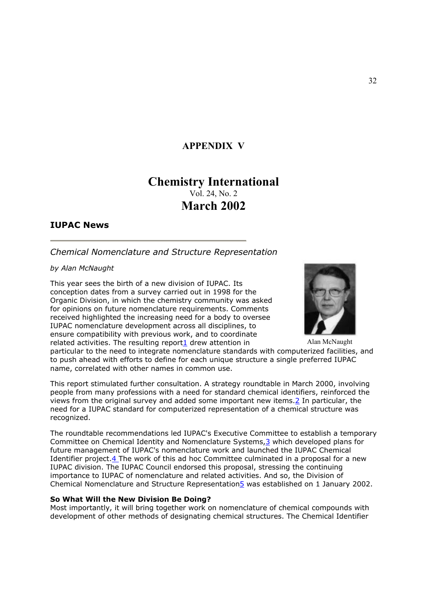# **APPENDIX V**

# **Chemistry International** Vol. 24, No. 2 **March 2002**

# **IUPAC News**

# *Chemical Nomenclature and Structure Representation*

*by Alan McNaught*

This year sees the birth of a new division of IUPAC. Its conception dates from a survey carried out in 1998 for the Organic Division, in which the chemistry community was asked for opinions on future nomenclature requirements. Comments received highlighted the increasing need for a body to oversee IUPAC nomenclature development across all disciplines, to ensure compatibility with previous work, and to coordinate related activities. The resulting report1 drew attention in

name, correlated with other names in common use.



particular to the need to integrate nomenclature standards with computerized facilities, and to push ahead with efforts to define for each unique structure a single preferred IUPAC Alan McNaught

This report stimulated further consultation. A strategy roundtable in March 2000, involving people from many professions with a need for standard chemical identifiers, reinforced the views from the original survey and added some important new items.2 In particular, the need for a IUPAC standard for computerized representation of a chemical structure was recognized.

The roundtable recommendations led IUPAC's Executive Committee to establish a temporary Committee on Chemical Identity and Nomenclature Systems,3 which developed plans for future management of IUPAC's nomenclature work and launched the IUPAC Chemical Identifier project. 4 The work of this ad hoc Committee culminated in a proposal for a new IUPAC division. The IUPAC Council endorsed this proposal, stressing the continuing importance to IUPAC of nomenclature and related activities. And so, the Division of Chemical Nomenclature and Structure Representation5 was established on 1 January 2002.

#### **So What Will the New Division Be Doing?**

Most importantly, it will bring together work on nomenclature of chemical compounds with development of other methods of designating chemical structures. The Chemical Identifier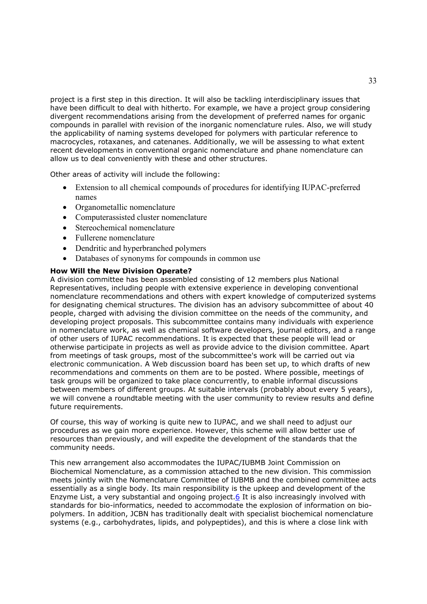project is a first step in this direction. It will also be tackling interdisciplinary issues that have been difficult to deal with hitherto. For example, we have a project group considering divergent recommendations arising from the development of preferred names for organic compounds in parallel with revision of the inorganic nomenclature rules. Also, we will study the applicability of naming systems developed for polymers with particular reference to macrocycles, rotaxanes, and catenanes. Additionally, we will be assessing to what extent recent developments in conventional organic nomenclature and phane nomenclature can allow us to deal conveniently with these and other structures.

Other areas of activity will include the following:

- Extension to all chemical compounds of procedures for identifying IUPAC-preferred names
- Organometallic nomenclature
- Computerassisted cluster nomenclature
- Stereochemical nomenclature
- Fullerene nomenclature
- Dendritic and hyperbranched polymers
- Databases of synonyms for compounds in common use

#### **How Will the New Division Operate?**

A division committee has been assembled consisting of 12 members plus National Representatives, including people with extensive experience in developing conventional nomenclature recommendations and others with expert knowledge of computerized systems for designating chemical structures. The division has an advisory subcommittee of about 40 people, charged with advising the division committee on the needs of the community, and developing project proposals. This subcommittee contains many individuals with experience in nomenclature work, as well as chemical software developers, journal editors, and a range of other users of IUPAC recommendations. It is expected that these people will lead or otherwise participate in projects as well as provide advice to the division committee. Apart from meetings of task groups, most of the subcommittee's work will be carried out via electronic communication. A Web discussion board has been set up, to which drafts of new recommendations and comments on them are to be posted. Where possible, meetings of task groups will be organized to take place concurrently, to enable informal discussions between members of different groups. At suitable intervals (probably about every 5 years), we will convene a roundtable meeting with the user community to review results and define future requirements.

Of course, this way of working is quite new to IUPAC, and we shall need to adjust our procedures as we gain more experience. However, this scheme will allow better use of resources than previously, and will expedite the development of the standards that the community needs.

This new arrangement also accommodates the IUPAC/IUBMB Joint Commission on Biochemical Nomenclature, as a commission attached to the new division. This commission meets jointly with the Nomenclature Committee of IUBMB and the combined committee acts essentially as a single body. Its main responsibility is the upkeep and development of the Enzyme List, a very substantial and ongoing project.6 It is also increasingly involved with standards for bio-informatics, needed to accommodate the explosion of information on biopolymers. In addition, JCBN has traditionally dealt with specialist biochemical nomenclature systems (e.g., carbohydrates, lipids, and polypeptides), and this is where a close link with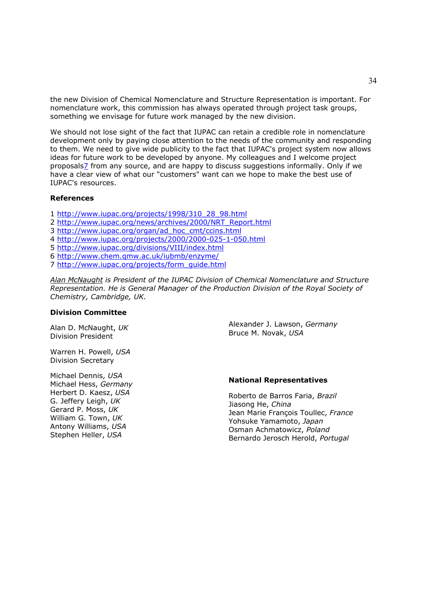the new Division of Chemical Nomenclature and Structure Representation is important. For nomenclature work, this commission has always operated through project task groups, something we envisage for future work managed by the new division.

We should not lose sight of the fact that IUPAC can retain a credible role in nomenclature development only by paying close attention to the needs of the community and responding to them. We need to give wide publicity to the fact that IUPAC's project system now allows ideas for future work to be developed by anyone. My colleagues and I welcome project proposals7 from any source, and are happy to discuss suggestions informally. Only if we have a clear view of what our "customers" want can we hope to make the best use of IUPAC's resources.

#### **References**

- 1 [http://www.iupac.org/projects/1998/310\\_28\\_98.html](http://www.iupac.org/projects/1998/310_28_98.html)
- 2 [http://www.iupac.org/news/archives/2000/NRT\\_Report.html](http://www.iupac.org/news/archives/2000/NRT_Report.html)
- 3 [http://www.iupac.org/organ/ad\\_hoc\\_cmt/ccins.html](http://www.iupac.org/organ/ad_hoc_cmt/ccins.html)
- 4 <http://www.iupac.org/projects/2000/2000-025-1-050.html>
- 5 <http://www.iupac.org/divisions/VIII/index.html>
- 6 <http://www.chem.qmw.ac.uk/iubmb/enzyme/>
- 7 [http://www.iupac.org/projects/form\\_guide.html](http://www.iupac.org/projects/form_guide.html)

*Alan McNaught is President of the IUPAC Division of Chemical Nomenclature and Structure Representation. He is General Manager of the Production Division of the Royal Society of Chemistry, Cambridge, UK.*

### **Division Committee**

Alan D. McNaught, *UK* Division President

Warren H. Powell, *USA* Division Secretary

Michael Dennis, *USA* Michael Hess, *Germany* Herbert D. Kaesz, *USA* G. Jeffery Leigh, *UK* Gerard P. Moss, *UK* William G. Town, *UK* Antony Williams, *USA* Stephen Heller, *USA*

Alexander J. Lawson, *Germany* Bruce M. Novak, *USA* 

#### **National Representatives**

Roberto de Barros Faria, *Brazil* Jiasong He, *China* Jean Marie François Toullec, *France* Yohsuke Yamamoto, *Japan* Osman Achmatowicz, *Poland* Bernardo Jerosch Herold, *Portugal*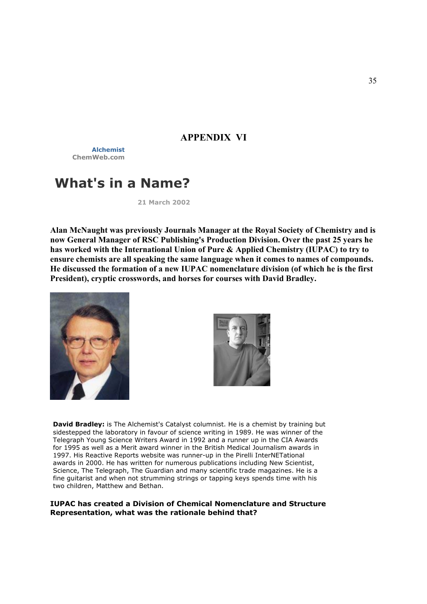# **APPENDIX VI**

#### **Alchemist ChemWeb.com**

# **What's in a Name?**

**21 March 2002**

**Alan McNaught was previously Journals Manager at the Royal Society of Chemistry and is now General Manager of RSC Publishing's Production Division. Over the past 25 years he has worked with the International Union of Pure & Applied Chemistry (IUPAC) to try to ensure chemists are all speaking the same language when it comes to names of compounds. He discussed the formation of a new IUPAC nomenclature division (of which he is the first President), cryptic crosswords, and horses for courses with David Bradley.** 





**David Bradley:** is The Alchemist's Catalyst columnist. He is a chemist by training but sidestepped the laboratory in favour of science writing in 1989. He was winner of the Telegraph Young Science Writers Award in 1992 and a runner up in the CIA Awards for 1995 as well as a Merit award winner in the British Medical Journalism awards in 1997. His Reactive Reports website was runner-up in the Pirelli InterNETational awards in 2000. He has written for numerous publications including New Scientist, Science, The Telegraph, The Guardian and many scientific trade magazines. He is a fine guitarist and when not strumming strings or tapping keys spends time with his two children, Matthew and Bethan.

**IUPAC has created a Division of Chemical Nomenclature and Structure Representation, what was the rationale behind that?**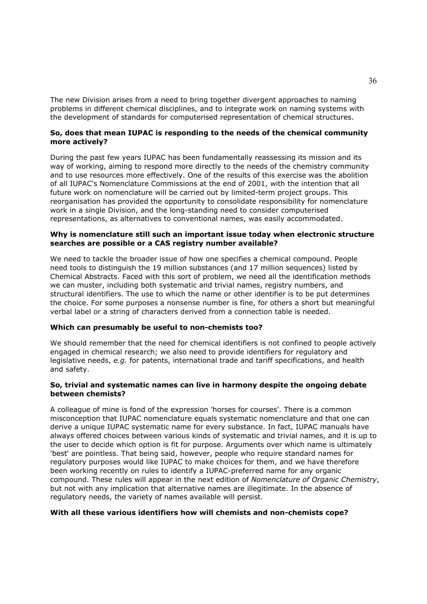The new Division arises from a need to bring together divergent approaches to naming problems in different chemical disciplines, and to integrate work on naming systems with the development of standards for computerised representation of chemical structures.

#### **So, does that mean IUPAC is responding to the needs of the chemical community more actively?**

During the past few years IUPAC has been fundamentally reassessing its mission and its way of working, aiming to respond more directly to the needs of the chemistry community and to use resources more effectively. One of the results of this exercise was the abolition of all IUPAC's Nomenclature Commissions at the end of 2001, with the intention that all future work on nomenclature will be carried out by limited-term project groups. This reorganisation has provided the opportunity to consolidate responsibility for nomenclature work in a single Division, and the long-standing need to consider computerised representations, as alternatives to conventional names, was easily accommodated.

#### **Why is nomenclature still such an important issue today when electronic structure searches are possible or a CAS registry number available?**

We need to tackle the broader issue of how one specifies a chemical compound. People need tools to distinguish the 19 million substances (and 17 million sequences) listed by Chemical Abstracts. Faced with this sort of problem, we need all the identification methods we can muster, including both systematic and trivial names, registry numbers, and structural identifiers. The use to which the name or other identifier is to be put determines the choice. For some purposes a nonsense number is fine, for others a short but meaningful verbal label or a string of characters derived from a connection table is needed.

#### **Which can presumably be useful to non-chemists too?**

We should remember that the need for chemical identifiers is not confined to people actively engaged in chemical research; we also need to provide identifiers for regulatory and legislative needs, *e.g.* for patents, international trade and tariff specifications, and health and safety.

#### **So, trivial and systematic names can live in harmony despite the ongoing debate between chemists?**

A colleague of mine is fond of the expression 'horses for courses'. There is a common misconception that IUPAC nomenclature equals systematic nomenclature and that one can derive a unique IUPAC systematic name for every substance. In fact, IUPAC manuals have always offered choices between various kinds of systematic and trivial names, and it is up to the user to decide which option is fit for purpose. Arguments over which name is ultimately 'best' are pointless. That being said, however, people who require standard names for regulatory purposes would like IUPAC to make choices for them, and we have therefore been working recently on rules to identify a IUPAC-preferred name for any organic compound. These rules will appear in the next edition of *Nomenclature of Organic Chemistry*, but not with any implication that alternative names are illegitimate. In the absence of regulatory needs, the variety of names available will persist.

#### **With all these various identifiers how will chemists and non-chemists cope?**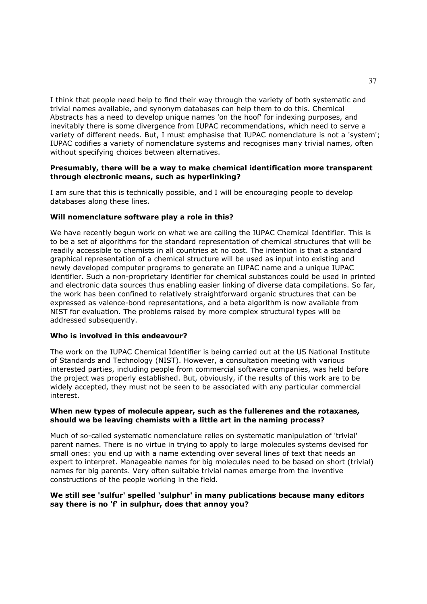I think that people need help to find their way through the variety of both systematic and trivial names available, and synonym databases can help them to do this. Chemical Abstracts has a need to develop unique names 'on the hoof' for indexing purposes, and inevitably there is some divergence from IUPAC recommendations, which need to serve a variety of different needs. But, I must emphasise that IUPAC nomenclature is not a 'system'; IUPAC codifies a variety of nomenclature systems and recognises many trivial names, often without specifying choices between alternatives.

#### **Presumably, there will be a way to make chemical identification more transparent through electronic means, such as hyperlinking?**

I am sure that this is technically possible, and I will be encouraging people to develop databases along these lines.

#### **Will nomenclature software play a role in this?**

We have recently begun work on what we are calling the IUPAC Chemical Identifier. This is to be a set of algorithms for the standard representation of chemical structures that will be readily accessible to chemists in all countries at no cost. The intention is that a standard graphical representation of a chemical structure will be used as input into existing and newly developed computer programs to generate an IUPAC name and a unique IUPAC identifier. Such a non-proprietary identifier for chemical substances could be used in printed and electronic data sources thus enabling easier linking of diverse data compilations. So far, the work has been confined to relatively straightforward organic structures that can be expressed as valence-bond representations, and a beta algorithm is now available from NIST for evaluation. The problems raised by more complex structural types will be addressed subsequently.

#### **Who is involved in this endeavour?**

The work on the IUPAC Chemical Identifier is being carried out at the US National Institute of Standards and Technology (NIST). However, a consultation meeting with various interested parties, including people from commercial software companies, was held before the project was properly established. But, obviously, if the results of this work are to be widely accepted, they must not be seen to be associated with any particular commercial interest.

#### **When new types of molecule appear, such as the fullerenes and the rotaxanes, should we be leaving chemists with a little art in the naming process?**

Much of so-called systematic nomenclature relies on systematic manipulation of 'trivial' parent names. There is no virtue in trying to apply to large molecules systems devised for small ones: you end up with a name extending over several lines of text that needs an expert to interpret. Manageable names for big molecules need to be based on short (trivial) names for big parents. Very often suitable trivial names emerge from the inventive constructions of the people working in the field.

#### **We still see 'sulfur' spelled 'sulphur' in many publications because many editors say there is no 'f' in sulphur, does that annoy you?**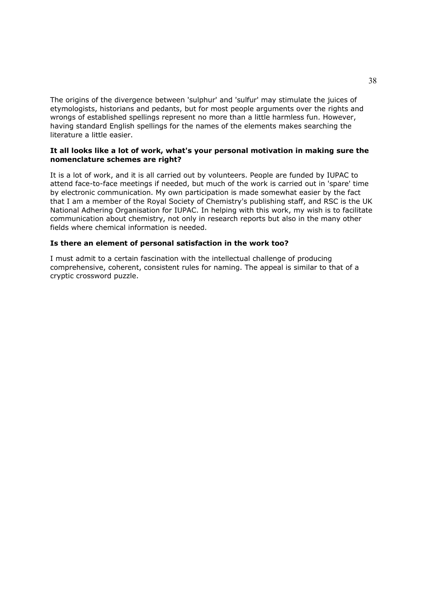The origins of the divergence between 'sulphur' and 'sulfur' may stimulate the juices of etymologists, historians and pedants, but for most people arguments over the rights and wrongs of established spellings represent no more than a little harmless fun. However, having standard English spellings for the names of the elements makes searching the literature a little easier.

#### **It all looks like a lot of work, what's your personal motivation in making sure the nomenclature schemes are right?**

It is a lot of work, and it is all carried out by volunteers. People are funded by IUPAC to attend face-to-face meetings if needed, but much of the work is carried out in 'spare' time by electronic communication. My own participation is made somewhat easier by the fact that I am a member of the Royal Society of Chemistry's publishing staff, and RSC is the UK National Adhering Organisation for IUPAC. In helping with this work, my wish is to facilitate communication about chemistry, not only in research reports but also in the many other fields where chemical information is needed.

#### **Is there an element of personal satisfaction in the work too?**

I must admit to a certain fascination with the intellectual challenge of producing comprehensive, coherent, consistent rules for naming. The appeal is similar to that of a cryptic crossword puzzle.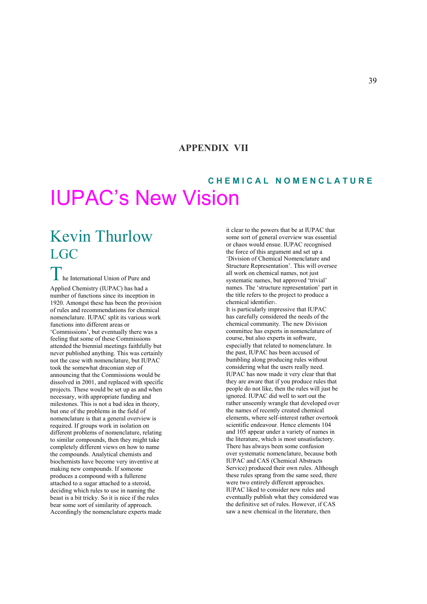# **APPENDIX VII**

# **C H E M I C A L N O M E N C L A T U R E**  IUPAC's New Vision

# Kevin Thurlow LGC

he International Union of Pure and Applied Chemistry (IUPAC) has had a number of functions since its inception in 1920. Amongst these has been the provision of rules and recommendations for chemical nomenclature. IUPAC split its various work functions into different areas or 'Commissions', but eventually there was a feeling that some of these Commissions attended the biennial meetings faithfully but never published anything. This was certainly not the case with nomenclature, but IUPAC took the somewhat draconian step of announcing that the Commissions would be dissolved in 2001, and replaced with specific projects. These would be set up as and when necessary, with appropriate funding and milestones. This is not a bad idea in theory, but one of the problems in the field of nomenclature is that a general overview is required. If groups work in isolation on different problems of nomenclature, relating to similar compounds, then they might take completely different views on how to name the compounds. Analytical chemists and biochemists have become very inventive at making new compounds. If someone produces a compound with a fullerene attached to a sugar attached to a steroid, deciding which rules to use in naming the beast is a bit tricky. So it is nice if the rules bear some sort of similarity of approach. Accordingly the nomenclature experts made

it clear to the powers that be at IUPAC that some sort of general overview was essential or chaos would ensue. IUPAC recognised the force of this argument and set up a 'Division of Chemical Nomenclature and Structure Representation'. This will oversee all work on chemical names, not just systematic names, but approved 'trivial' names. The 'structure representation' part in the title refers to the project to produce a chemical identifier1.

It is particularly impressive that IUPAC has carefully considered the needs of the chemical community. The new Division committee has experts in nomenclature of course, but also experts in software, especially that related to nomenclature. In the past, IUPAC has been accused of bumbling along producing rules without considering what the users really need. IUPAC has now made it very clear that that they are aware that if you produce rules that people do not like, then the rules will just be ignored. IUPAC did well to sort out the rather unseemly wrangle that developed over the names of recently created chemical elements, where self-interest rather overtook scientific endeavour. Hence elements 104 and 105 appear under a variety of names in the literature, which is most unsatisfactory. There has always been some confusion over systematic nomenclature, because both IUPAC and CAS (Chemical Abstracts Service) produced their own rules. Although these rules sprang from the same seed, there were two entirely different approaches. IUPAC liked to consider new rules and eventually publish what they considered was the definitive set of rules. However, if CAS saw a new chemical in the literature, then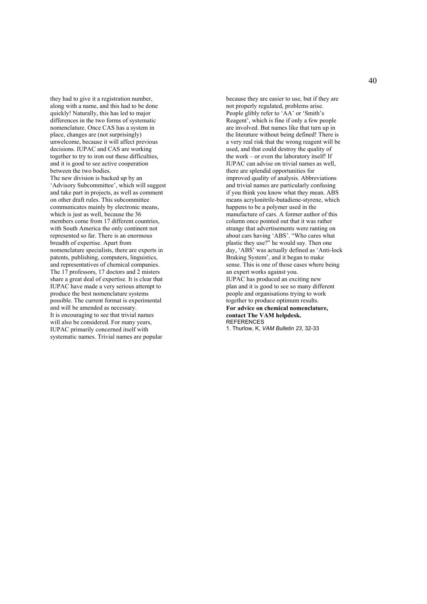they had to give it a registration number, along with a name, and this had to be done quickly! Naturally, this has led to major differences in the two forms of systematic nomenclature. Once CAS has a system in place, changes are (not surprisingly) unwelcome, because it will affect previous decisions. IUPAC and CAS are working together to try to iron out these difficulties, and it is good to see active cooperation between the two bodies.

The new division is backed up by an 'Advisory Subcommittee', which will suggest and take part in projects, as well as comment on other draft rules. This subcommittee communicates mainly by electronic means, which is just as well, because the 36 members come from 17 different countries, with South America the only continent not represented so far. There is an enormous breadth of expertise. Apart from nomenclature specialists, there are experts in patents, publishing, computers, linguistics, and representatives of chemical companies. The 17 professors, 17 doctors and 2 misters share a great deal of expertise. It is clear that IUPAC have made a very serious attempt to produce the best nomenclature systems possible. The current format is experimental and will be amended as necessary. It is encouraging to see that trivial names will also be considered. For many years, IUPAC primarily concerned itself with systematic names. Trivial names are popular

because they are easier to use, but if they are not properly regulated, problems arise. People glibly refer to 'AA' or 'Smith's Reagent', which is fine if only a few people are involved. But names like that turn up in the literature without being defined! There is a very real risk that the wrong reagent will be used, and that could destroy the quality of the work – or even the laboratory itself! If IUPAC can advise on trivial names as well, there are splendid opportunities for improved quality of analysis. Abbreviations and trivial names are particularly confusing if you think you know what they mean. ABS means acrylonitrile-butadiene-styrene, which happens to be a polymer used in the manufacture of cars. A former author of this column once pointed out that it was rather strange that advertisements were ranting on about cars having 'ABS'. "Who cares what plastic they use?" he would say. Then one day, 'ABS' was actually defined as 'Anti-lock Braking System', and it began to make sense. This is one of those cases where being an expert works against you. IUPAC has produced an exciting new plan and it is good to see so many different people and organisations trying to work together to produce optimum results. **For advice on chemical nomenclature, contact The VAM helpdesk. REFERENCES** 1. Thurlow, K, *VAM Bulletin 23*, 32-33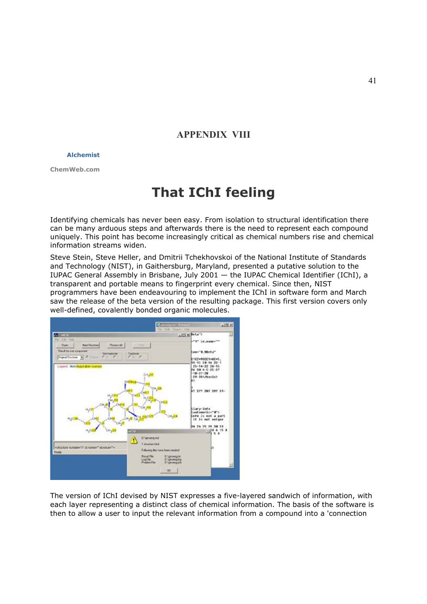# **APPENDIX VIII**

#### **Alchemist**

**ChemWeb.com**

# **That IChI feeling**

Identifying chemicals has never been easy. From isolation to structural identification there can be many arduous steps and afterwards there is the need to represent each compound uniquely. This point has become increasingly critical as chemical numbers rise and chemical information streams widen.

Steve Stein, Steve Heller, and Dmitrii Tchekhovskoi of the National Institute of Standards and Technology (NIST), in Gaithersburg, Maryland, presented a putative solution to the IUPAC General Assembly in Brisbane, July 2001 — the IUPAC Chemical Identifier (IChI), a transparent and portable means to fingerprint every chemical. Since then, NIST programmers have been endeavouring to implement the IChI in software form and March saw the release of the beta version of the resulting package. This first version covers only well-defined, covalently bonded organic molecules.



The version of IChI devised by NIST expresses a five-layered sandwich of information, with each layer representing a distinct class of chemical information. The basis of the software is then to allow a user to input the relevant information from a compound into a 'connection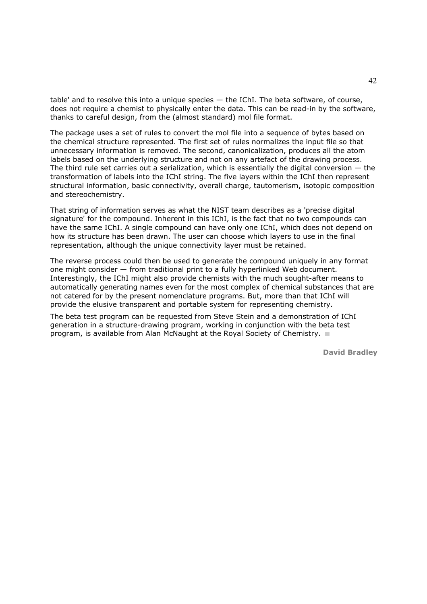table' and to resolve this into a unique species — the IChI. The beta software, of course, does not require a chemist to physically enter the data. This can be read-in by the software, thanks to careful design, from the (almost standard) mol file format.

The package uses a set of rules to convert the mol file into a sequence of bytes based on the chemical structure represented. The first set of rules normalizes the input file so that unnecessary information is removed. The second, canonicalization, produces all the atom labels based on the underlying structure and not on any artefact of the drawing process. The third rule set carries out a serialization, which is essentially the digital conversion — the transformation of labels into the IChI string. The five layers within the IChI then represent structural information, basic connectivity, overall charge, tautomerism, isotopic composition and stereochemistry.

That string of information serves as what the NIST team describes as a 'precise digital signature' for the compound. Inherent in this IChI, is the fact that no two compounds can have the same IChI. A single compound can have only one IChI, which does not depend on how its structure has been drawn. The user can choose which layers to use in the final representation, although the unique connectivity layer must be retained.

The reverse process could then be used to generate the compound uniquely in any format one might consider — from traditional print to a fully hyperlinked Web document. Interestingly, the IChI might also provide chemists with the much sought-after means to automatically generating names even for the most complex of chemical substances that are not catered for by the present nomenclature programs. But, more than that IChI will provide the elusive transparent and portable system for representing chemistry.

The beta test program can be requested from Steve Stein and a demonstration of IChI generation in a structure-drawing program, working in conjunction with the beta test program, is available from Alan McNaught at the Royal Society of Chemistry.

**David Bradley**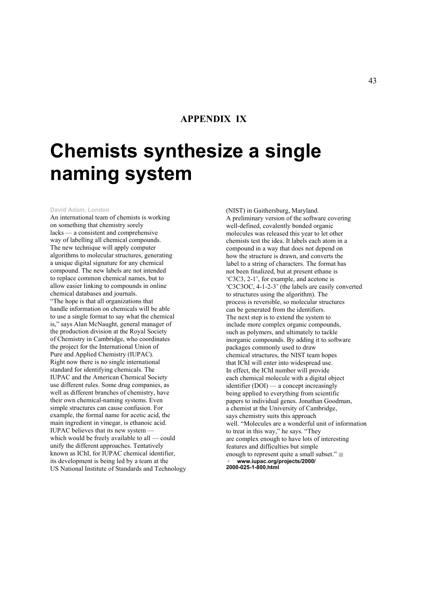# **APPENDIX IX**

# **Chemists synthesize a single naming system**

#### **David Adam, London**

An international team of chemists is working on something that chemistry sorely lacks — a consistent and comprehensive way of labelling all chemical compounds. The new technique will apply computer algorithms to molecular structures, generating a unique digital signature for any chemical compound. The new labels are not intended to replace common chemical names, but to allow easier linking to compounds in online chemical databases and journals. "The hope is that all organizations that handle information on chemicals will be able to use a single format to say what the chemical is," says Alan McNaught, general manager of the production division at the Royal Society of Chemistry in Cambridge, who coordinates the project for the International Union of Pure and Applied Chemistry (IUPAC). Right now there is no single international standard for identifying chemicals. The IUPAC and the American Chemical Society use different rules. Some drug companies, as well as different branches of chemistry, have their own chemical-naming systems. Even simple structures can cause confusion. For example, the formal name for acetic acid, the main ingredient in vinegar, is ethanoic acid. IUPAC believes that its new system which would be freely available to all — could unify the different approaches. Tentatively known as IChI, for IUPAC chemical identifier, its development is being led by a team at the US National Institute of Standards and Technology (NIST) in Gaithersburg, Maryland. A preliminary version of the software covering well-defined, covalently bonded organic molecules was released this year to let other chemists test the idea. It labels each atom in a compound in a way that does not depend on how the structure is drawn, and converts the label to a string of characters. The format has not been finalized, but at present ethane is 'C3C3, 2-1', for example, and acetone is 'C3C3OC, 4-1-2-3' (the labels are easily converted to structures using the algorithm). The process is reversible, so molecular structures can be generated from the identifiers. The next step is to extend the system to include more complex organic compounds, such as polymers, and ultimately to tackle inorganic compounds. By adding it to software packages commonly used to draw chemical structures, the NIST team hopes that IChI will enter into widespread use. In effect, the IChI number will provide each chemical molecule with a digital object identifier (DOI) — a concept increasingly being applied to everything from scientific papers to individual genes. Jonathan Goodman, a chemist at the University of Cambridge, says chemistry suits this approach well. "Molecules are a wonderful unit of information to treat in this way," he says. "They are complex enough to have lots of interesting features and difficulties but simple enough to represent quite a small subset." ■ ➧ **www.iupac.org/projects/2000/ 2000-025-1-800.html**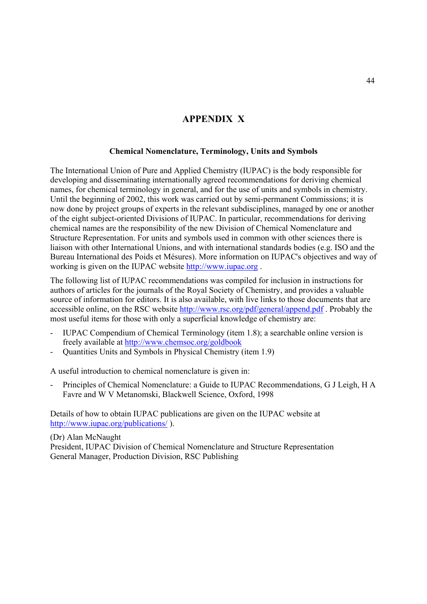# **APPENDIX X**

#### **Chemical Nomenclature, Terminology, Units and Symbols**

The International Union of Pure and Applied Chemistry (IUPAC) is the body responsible for developing and disseminating internationally agreed recommendations for deriving chemical names, for chemical terminology in general, and for the use of units and symbols in chemistry. Until the beginning of 2002, this work was carried out by semi-permanent Commissions; it is now done by project groups of experts in the relevant subdisciplines, managed by one or another of the eight subject-oriented Divisions of IUPAC. In particular, recommendations for deriving chemical names are the responsibility of the new Division of Chemical Nomenclature and Structure Representation. For units and symbols used in common with other sciences there is liaison with other International Unions, and with international standards bodies (e.g. ISO and the Bureau International des Poids et Mésures). More information on IUPAC's objectives and way of working is given on the IUPAC website <http://www.iupac.org> .

The following list of IUPAC recommendations was compiled for inclusion in instructions for authors of articles for the journals of the Royal Society of Chemistry, and provides a valuable source of information for editors. It is also available, with live links to those documents that are accessible online, on the RSC website<http://www.rsc.org/pdf/general/append.pdf> . Probably the most useful items for those with only a superficial knowledge of chemistry are:

- IUPAC Compendium of Chemical Terminology (item 1.8); a searchable online version is freely available at<http://www.chemsoc.org/goldbook>
- Quantities Units and Symbols in Physical Chemistry (item 1.9)

A useful introduction to chemical nomenclature is given in:

Principles of Chemical Nomenclature: a Guide to IUPAC Recommendations, G J Leigh, H A Favre and W V Metanomski, Blackwell Science, Oxford, 1998

Details of how to obtain IUPAC publications are given on the IUPAC website at <http://www.iupac.org/publications/> ).

(Dr) Alan McNaught President, IUPAC Division of Chemical Nomenclature and Structure Representation General Manager, Production Division, RSC Publishing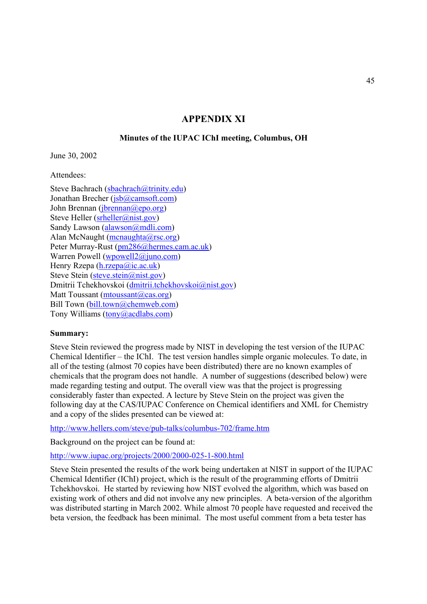# **APPENDIX XI**

#### **Minutes of the IUPAC IChI meeting, Columbus, OH**

June 30, 2002

Attendees:

Steve Bachrach (sbachrach@trinity.edu) Jonathan Brecher (jsb@camsoft.com) John Brennan (jbrennan@epo.org) Steve Heller (srheller@nist.gov) Sandy Lawson (alawson@mdli.com) Alan McNaught (mcnaughta@rsc.org) Peter Murray-Rust (pm286@hermes.cam.ac.uk) Warren Powell (wpowell2@juno.com) Henry Rzepa (h.rzepa@ic.ac.uk) Steve Stein (steve.stein@nist.gov) Dmitrii Tchekhovskoi (dmitrii.tchekhovskoi@nist.gov) Matt Toussant ( $mtoussant$ @cas.org) Bill Town (bill.town@chemweb.com) Tony Williams (tony@acdlabs.com)

#### **Summary:**

Steve Stein reviewed the progress made by NIST in developing the test version of the IUPAC Chemical Identifier – the IChI. The test version handles simple organic molecules. To date, in all of the testing (almost 70 copies have been distributed) there are no known examples of chemicals that the program does not handle. A number of suggestions (described below) were made regarding testing and output. The overall view was that the project is progressing considerably faster than expected. A lecture by Steve Stein on the project was given the following day at the CAS/IUPAC Conference on Chemical identifiers and XML for Chemistry and a copy of the slides presented can be viewed at:

<http://www.hellers.com/steve/pub-talks/columbus-702/frame.htm>

Background on the project can be found at:

<http://www.iupac.org/projects/2000/2000-025-1-800.html>

Steve Stein presented the results of the work being undertaken at NIST in support of the IUPAC Chemical Identifier (IChI) project, which is the result of the programming efforts of Dmitrii Tchekhovskoi. He started by reviewing how NIST evolved the algorithm, which was based on existing work of others and did not involve any new principles. A beta-version of the algorithm was distributed starting in March 2002. While almost 70 people have requested and received the beta version, the feedback has been minimal. The most useful comment from a beta tester has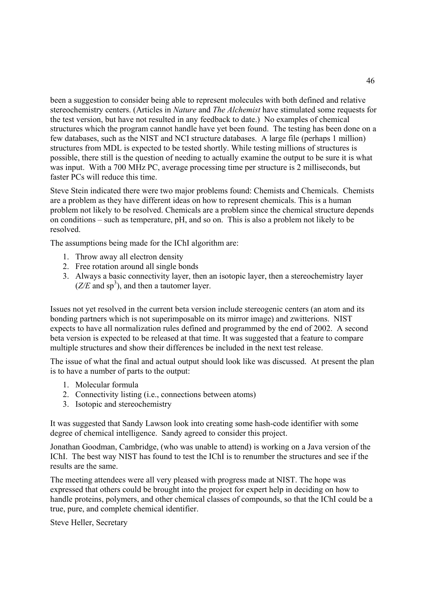been a suggestion to consider being able to represent molecules with both defined and relative stereochemistry centers. (Articles in *Nature* and *The Alchemist* have stimulated some requests for the test version, but have not resulted in any feedback to date.) No examples of chemical structures which the program cannot handle have yet been found. The testing has been done on a few databases, such as the NIST and NCI structure databases. A large file (perhaps 1 million) structures from MDL is expected to be tested shortly. While testing millions of structures is possible, there still is the question of needing to actually examine the output to be sure it is what was input. With a 700 MHz PC, average processing time per structure is 2 milliseconds, but faster PCs will reduce this time.

Steve Stein indicated there were two major problems found: Chemists and Chemicals. Chemists are a problem as they have different ideas on how to represent chemicals. This is a human problem not likely to be resolved. Chemicals are a problem since the chemical structure depends on conditions – such as temperature, pH, and so on. This is also a problem not likely to be resolved.

The assumptions being made for the IChI algorithm are:

- 1. Throw away all electron density
- 2. Free rotation around all single bonds
- 3. Always a basic connectivity layer, then an isotopic layer, then a stereochemistry layer  $(Z/E \text{ and } sp^3)$ , and then a tautomer layer.

Issues not yet resolved in the current beta version include stereogenic centers (an atom and its bonding partners which is not superimposable on its mirror image) and zwitterions. NIST expects to have all normalization rules defined and programmed by the end of 2002. A second beta version is expected to be released at that time. It was suggested that a feature to compare multiple structures and show their differences be included in the next test release.

The issue of what the final and actual output should look like was discussed. At present the plan is to have a number of parts to the output:

- 1. Molecular formula
- 2. Connectivity listing (i.e., connections between atoms)
- 3. Isotopic and stereochemistry

It was suggested that Sandy Lawson look into creating some hash-code identifier with some degree of chemical intelligence. Sandy agreed to consider this project.

Jonathan Goodman, Cambridge, (who was unable to attend) is working on a Java version of the IChI. The best way NIST has found to test the IChI is to renumber the structures and see if the results are the same.

The meeting attendees were all very pleased with progress made at NIST. The hope was expressed that others could be brought into the project for expert help in deciding on how to handle proteins, polymers, and other chemical classes of compounds, so that the IChI could be a true, pure, and complete chemical identifier.

Steve Heller, Secretary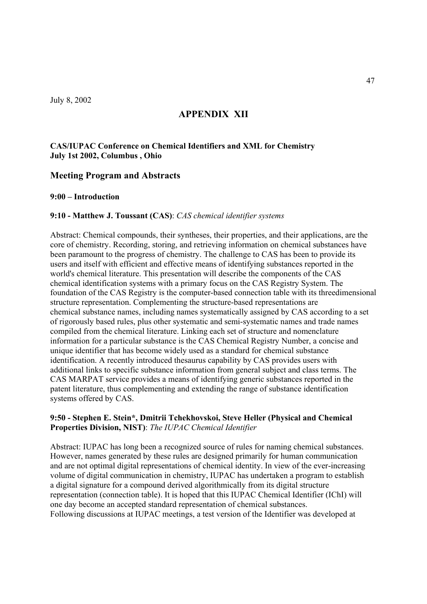# **APPENDIX XII**

# **CAS/IUPAC Conference on Chemical Identifiers and XML for Chemistry July 1st 2002, Columbus , Ohio**

### **Meeting Program and Abstracts**

#### **9:00 – Introduction**

#### **9:10 - Matthew J. Toussant (CAS)**: *CAS chemical identifier systems*

Abstract: Chemical compounds, their syntheses, their properties, and their applications, are the core of chemistry. Recording, storing, and retrieving information on chemical substances have been paramount to the progress of chemistry. The challenge to CAS has been to provide its users and itself with efficient and effective means of identifying substances reported in the world's chemical literature. This presentation will describe the components of the CAS chemical identification systems with a primary focus on the CAS Registry System. The foundation of the CAS Registry is the computer-based connection table with its threedimensional structure representation. Complementing the structure-based representations are chemical substance names, including names systematically assigned by CAS according to a set of rigorously based rules, plus other systematic and semi-systematic names and trade names compiled from the chemical literature. Linking each set of structure and nomenclature information for a particular substance is the CAS Chemical Registry Number, a concise and unique identifier that has become widely used as a standard for chemical substance identification. A recently introduced thesaurus capability by CAS provides users with additional links to specific substance information from general subject and class terms. The CAS MARPAT service provides a means of identifying generic substances reported in the patent literature, thus complementing and extending the range of substance identification systems offered by CAS.

## **9:50 - Stephen E. Stein\*, Dmitrii Tchekhovskoi, Steve Heller (Physical and Chemical Properties Division, NIST)**: *The IUPAC Chemical Identifier*

Abstract: IUPAC has long been a recognized source of rules for naming chemical substances. However, names generated by these rules are designed primarily for human communication and are not optimal digital representations of chemical identity. In view of the ever-increasing volume of digital communication in chemistry, IUPAC has undertaken a program to establish a digital signature for a compound derived algorithmically from its digital structure representation (connection table). It is hoped that this IUPAC Chemical Identifier (IChI) will one day become an accepted standard representation of chemical substances. Following discussions at IUPAC meetings, a test version of the Identifier was developed at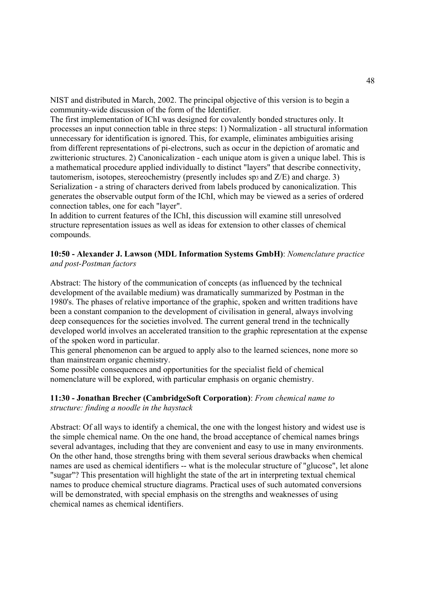NIST and distributed in March, 2002. The principal objective of this version is to begin a community-wide discussion of the form of the Identifier.

The first implementation of IChI was designed for covalently bonded structures only. It processes an input connection table in three steps: 1) Normalization - all structural information unnecessary for identification is ignored. This, for example, eliminates ambiguities arising from different representations of pi-electrons, such as occur in the depiction of aromatic and zwitterionic structures. 2) Canonicalization - each unique atom is given a unique label. This is a mathematical procedure applied individually to distinct "layers" that describe connectivity, tautomerism, isotopes, stereochemistry (presently includes sp<sub>3</sub> and  $Z/E$ ) and charge. 3) Serialization - a string of characters derived from labels produced by canonicalization. This generates the observable output form of the IChI, which may be viewed as a series of ordered connection tables, one for each "layer".

In addition to current features of the IChI, this discussion will examine still unresolved structure representation issues as well as ideas for extension to other classes of chemical compounds.

#### **10:50 - Alexander J. Lawson (MDL Information Systems GmbH)**: *Nomenclature practice and post-Postman factors*

Abstract: The history of the communication of concepts (as influenced by the technical development of the available medium) was dramatically summarized by Postman in the 1980's. The phases of relative importance of the graphic, spoken and written traditions have been a constant companion to the development of civilisation in general, always involving deep consequences for the societies involved. The current general trend in the technically developed world involves an accelerated transition to the graphic representation at the expense of the spoken word in particular.

This general phenomenon can be argued to apply also to the learned sciences, none more so than mainstream organic chemistry.

Some possible consequences and opportunities for the specialist field of chemical nomenclature will be explored, with particular emphasis on organic chemistry.

# **11:30 - Jonathan Brecher (CambridgeSoft Corporation)**: *From chemical name to structure: finding a noodle in the haystack*

Abstract: Of all ways to identify a chemical, the one with the longest history and widest use is the simple chemical name. On the one hand, the broad acceptance of chemical names brings several advantages, including that they are convenient and easy to use in many environments. On the other hand, those strengths bring with them several serious drawbacks when chemical names are used as chemical identifiers -- what is the molecular structure of "glucose", let alone "sugar"? This presentation will highlight the state of the art in interpreting textual chemical names to produce chemical structure diagrams. Practical uses of such automated conversions will be demonstrated, with special emphasis on the strengths and weaknesses of using chemical names as chemical identifiers.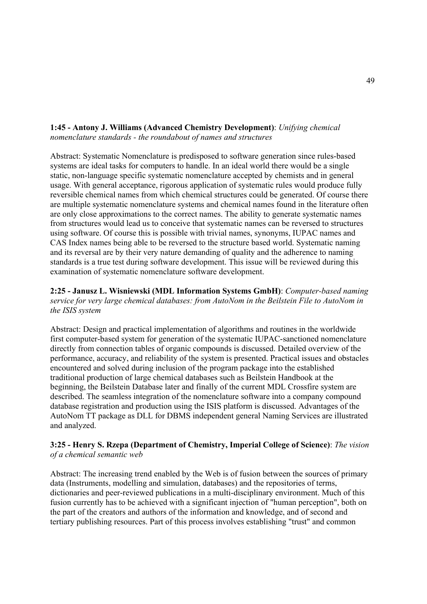# **1:45 - Antony J. Williams (Advanced Chemistry Development)**: *Unifying chemical nomenclature standards - the roundabout of names and structures*

Abstract: Systematic Nomenclature is predisposed to software generation since rules-based systems are ideal tasks for computers to handle. In an ideal world there would be a single static, non-language specific systematic nomenclature accepted by chemists and in general usage. With general acceptance, rigorous application of systematic rules would produce fully reversible chemical names from which chemical structures could be generated. Of course there are multiple systematic nomenclature systems and chemical names found in the literature often are only close approximations to the correct names. The ability to generate systematic names from structures would lead us to conceive that systematic names can be reversed to structures using software. Of course this is possible with trivial names, synonyms, IUPAC names and CAS Index names being able to be reversed to the structure based world. Systematic naming and its reversal are by their very nature demanding of quality and the adherence to naming standards is a true test during software development. This issue will be reviewed during this examination of systematic nomenclature software development.

**2:25 - Janusz L. Wisniewski (MDL Information Systems GmbH)**: *Computer-based naming service for very large chemical databases: from AutoNom in the Beilstein File to AutoNom in the ISIS system* 

Abstract: Design and practical implementation of algorithms and routines in the worldwide first computer-based system for generation of the systematic IUPAC-sanctioned nomenclature directly from connection tables of organic compounds is discussed. Detailed overview of the performance, accuracy, and reliability of the system is presented. Practical issues and obstacles encountered and solved during inclusion of the program package into the established traditional production of large chemical databases such as Beilstein Handbook at the beginning, the Beilstein Database later and finally of the current MDL Crossfire system are described. The seamless integration of the nomenclature software into a company compound database registration and production using the ISIS platform is discussed. Advantages of the AutoNom TT package as DLL for DBMS independent general Naming Services are illustrated and analyzed.

# **3:25 - Henry S. Rzepa (Department of Chemistry, Imperial College of Science)**: *The vision of a chemical semantic web*

Abstract: The increasing trend enabled by the Web is of fusion between the sources of primary data (Instruments, modelling and simulation, databases) and the repositories of terms, dictionaries and peer-reviewed publications in a multi-disciplinary environment. Much of this fusion currently has to be achieved with a significant injection of "human perception", both on the part of the creators and authors of the information and knowledge, and of second and tertiary publishing resources. Part of this process involves establishing "trust" and common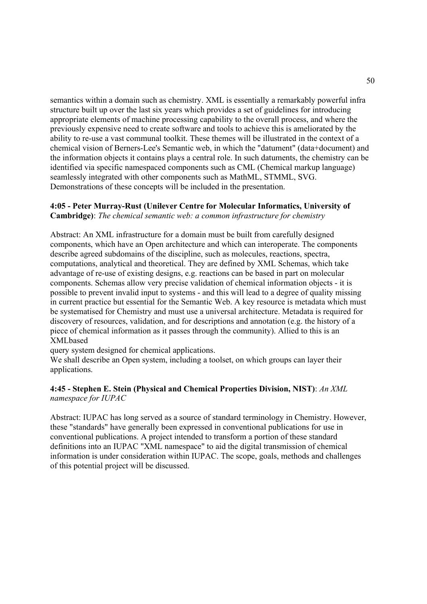semantics within a domain such as chemistry. XML is essentially a remarkably powerful infra structure built up over the last six years which provides a set of guidelines for introducing appropriate elements of machine processing capability to the overall process, and where the previously expensive need to create software and tools to achieve this is ameliorated by the ability to re-use a vast communal toolkit. These themes will be illustrated in the context of a chemical vision of Berners-Lee's Semantic web, in which the "datument" (data+document) and the information objects it contains plays a central role. In such datuments, the chemistry can be identified via specific namespaced components such as CML (Chemical markup language) seamlessly integrated with other components such as MathML, STMML, SVG. Demonstrations of these concepts will be included in the presentation.

#### **4:05 - Peter Murray-Rust (Unilever Centre for Molecular Informatics, University of Cambridge)**: *The chemical semantic web: a common infrastructure for chemistry*

Abstract: An XML infrastructure for a domain must be built from carefully designed

components, which have an Open architecture and which can interoperate. The components describe agreed subdomains of the discipline, such as molecules, reactions, spectra, computations, analytical and theoretical. They are defined by XML Schemas, which take advantage of re-use of existing designs, e.g. reactions can be based in part on molecular components. Schemas allow very precise validation of chemical information objects - it is possible to prevent invalid input to systems - and this will lead to a degree of quality missing in current practice but essential for the Semantic Web. A key resource is metadata which must be systematised for Chemistry and must use a universal architecture. Metadata is required for discovery of resources, validation, and for descriptions and annotation (e.g. the history of a piece of chemical information as it passes through the community). Allied to this is an XMLbased

query system designed for chemical applications.

We shall describe an Open system, including a toolset, on which groups can layer their applications.

# **4:45 - Stephen E. Stein (Physical and Chemical Properties Division, NIST)**: *An XML namespace for IUPAC*

Abstract: IUPAC has long served as a source of standard terminology in Chemistry. However, these "standards" have generally been expressed in conventional publications for use in conventional publications. A project intended to transform a portion of these standard definitions into an IUPAC "XML namespace" to aid the digital transmission of chemical information is under consideration within IUPAC. The scope, goals, methods and challenges of this potential project will be discussed.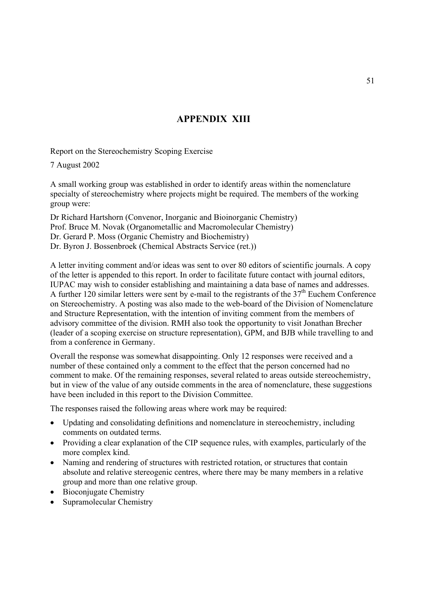# **APPENDIX XIII**

Report on the Stereochemistry Scoping Exercise

7 August 2002

A small working group was established in order to identify areas within the nomenclature specialty of stereochemistry where projects might be required. The members of the working group were:

Dr Richard Hartshorn (Convenor, Inorganic and Bioinorganic Chemistry) Prof. Bruce M. Novak (Organometallic and Macromolecular Chemistry) Dr. Gerard P. Moss (Organic Chemistry and Biochemistry) Dr. Byron J. Bossenbroek (Chemical Abstracts Service (ret.))

A letter inviting comment and/or ideas was sent to over 80 editors of scientific journals. A copy of the letter is appended to this report. In order to facilitate future contact with journal editors, IUPAC may wish to consider establishing and maintaining a data base of names and addresses. A further 120 similar letters were sent by e-mail to the registrants of the  $37<sup>th</sup>$  Euchem Conference on Stereochemistry. A posting was also made to the web-board of the Division of Nomenclature and Structure Representation, with the intention of inviting comment from the members of advisory committee of the division. RMH also took the opportunity to visit Jonathan Brecher (leader of a scoping exercise on structure representation), GPM, and BJB while travelling to and from a conference in Germany.

Overall the response was somewhat disappointing. Only 12 responses were received and a number of these contained only a comment to the effect that the person concerned had no comment to make. Of the remaining responses, several related to areas outside stereochemistry, but in view of the value of any outside comments in the area of nomenclature, these suggestions have been included in this report to the Division Committee.

The responses raised the following areas where work may be required:

- Updating and consolidating definitions and nomenclature in stereochemistry, including comments on outdated terms.
- Providing a clear explanation of the CIP sequence rules, with examples, particularly of the more complex kind.
- Naming and rendering of structures with restricted rotation, or structures that contain absolute and relative stereogenic centres, where there may be many members in a relative group and more than one relative group.
- Bioconjugate Chemistry
- Supramolecular Chemistry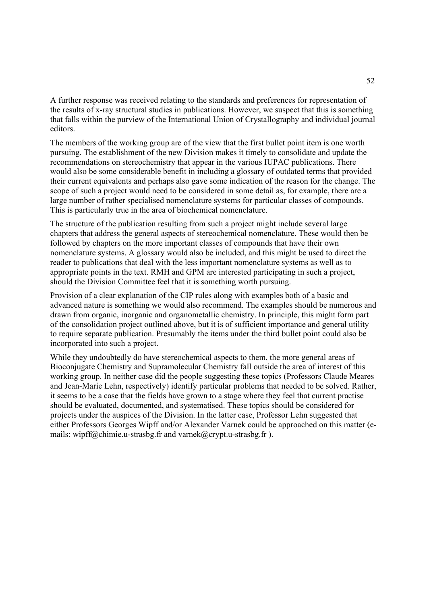A further response was received relating to the standards and preferences for representation of the results of x-ray structural studies in publications. However, we suspect that this is something that falls within the purview of the International Union of Crystallography and individual journal editors.

The members of the working group are of the view that the first bullet point item is one worth pursuing. The establishment of the new Division makes it timely to consolidate and update the recommendations on stereochemistry that appear in the various IUPAC publications. There would also be some considerable benefit in including a glossary of outdated terms that provided their current equivalents and perhaps also gave some indication of the reason for the change. The scope of such a project would need to be considered in some detail as, for example, there are a large number of rather specialised nomenclature systems for particular classes of compounds. This is particularly true in the area of biochemical nomenclature.

The structure of the publication resulting from such a project might include several large chapters that address the general aspects of stereochemical nomenclature. These would then be followed by chapters on the more important classes of compounds that have their own nomenclature systems. A glossary would also be included, and this might be used to direct the reader to publications that deal with the less important nomenclature systems as well as to appropriate points in the text. RMH and GPM are interested participating in such a project, should the Division Committee feel that it is something worth pursuing.

Provision of a clear explanation of the CIP rules along with examples both of a basic and advanced nature is something we would also recommend. The examples should be numerous and drawn from organic, inorganic and organometallic chemistry. In principle, this might form part of the consolidation project outlined above, but it is of sufficient importance and general utility to require separate publication. Presumably the items under the third bullet point could also be incorporated into such a project.

While they undoubtedly do have stereochemical aspects to them, the more general areas of Bioconjugate Chemistry and Supramolecular Chemistry fall outside the area of interest of this working group. In neither case did the people suggesting these topics (Professors Claude Meares and Jean-Marie Lehn, respectively) identify particular problems that needed to be solved. Rather, it seems to be a case that the fields have grown to a stage where they feel that current practise should be evaluated, documented, and systematised. These topics should be considered for projects under the auspices of the Division. In the latter case, Professor Lehn suggested that either Professors Georges Wipff and/or Alexander Varnek could be approached on this matter (emails: wipff@chimie.u-strasbg.fr and varnek@crypt.u-strasbg.fr ).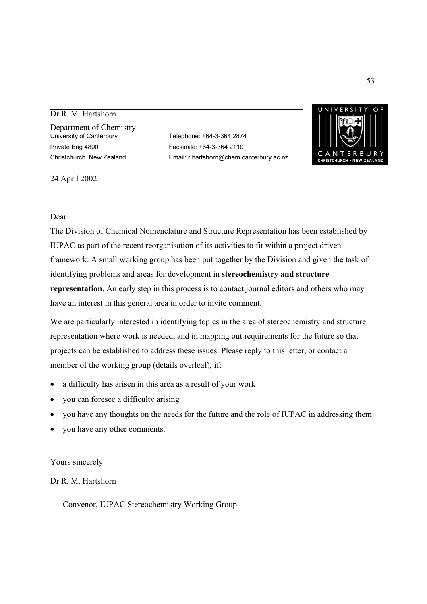# Dr R. M. Hartshorn

Department of Chemistry University of Canterbury Telephone: +64-3-364 2874 Private Bag 4800 Facsimile: +64-3-364 2110

Christchurch New Zealand Email: r.hartshorn@chem.canterbury.ac.nz



24 April 2002

# Dear

The Division of Chemical Nomenclature and Structure Representation has been established by IUPAC as part of the recent reorganisation of its activities to fit within a project driven framework. A small working group has been put together by the Division and given the task of identifying problems and areas for development in **stereochemistry and structure representation**. An early step in this process is to contact journal editors and others who may have an interest in this general area in order to invite comment.

We are particularly interested in identifying topics in the area of stereochemistry and structure representation where work is needed, and in mapping out requirements for the future so that projects can be established to address these issues. Please reply to this letter, or contact a member of the working group (details overleaf), if:

- a difficulty has arisen in this area as a result of your work
- you can foresee a difficulty arising
- you have any thoughts on the needs for the future and the role of IUPAC in addressing them
- you have any other comments.

Yours sincerely

Dr R. M. Hartshorn

Convenor, IUPAC Stereochemistry Working Group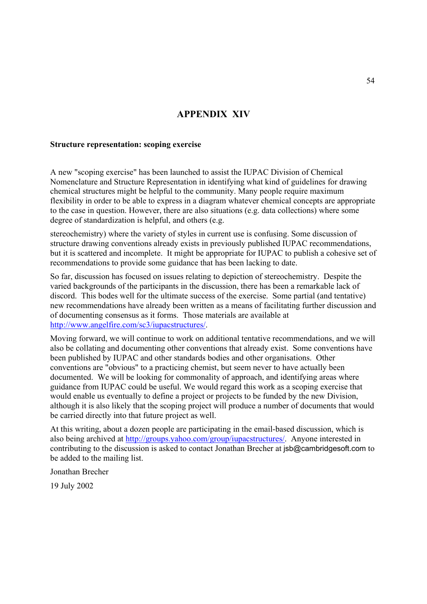# **APPENDIX XIV**

#### **Structure representation: scoping exercise**

A new "scoping exercise" has been launched to assist the IUPAC Division of Chemical Nomenclature and Structure Representation in identifying what kind of guidelines for drawing chemical structures might be helpful to the community. Many people require maximum flexibility in order to be able to express in a diagram whatever chemical concepts are appropriate to the case in question. However, there are also situations (e.g. data collections) where some degree of standardization is helpful, and others (e.g.

stereochemistry) where the variety of styles in current use is confusing. Some discussion of structure drawing conventions already exists in previously published IUPAC recommendations, but it is scattered and incomplete. It might be appropriate for IUPAC to publish a cohesive set of recommendations to provide some guidance that has been lacking to date.

So far, discussion has focused on issues relating to depiction of stereochemistry. Despite the varied backgrounds of the participants in the discussion, there has been a remarkable lack of discord. This bodes well for the ultimate success of the exercise. Some partial (and tentative) new recommendations have already been written as a means of facilitating further discussion and of documenting consensus as it forms. Those materials are available at [http://www.angelfire.com/sc3/iupacstructures/.](http://www.angelfire.com/sc3/iupacstructures/)

Moving forward, we will continue to work on additional tentative recommendations, and we will also be collating and documenting other conventions that already exist. Some conventions have been published by IUPAC and other standards bodies and other organisations. Other conventions are "obvious" to a practicing chemist, but seem never to have actually been documented. We will be looking for commonality of approach, and identifying areas where guidance from IUPAC could be useful. We would regard this work as a scoping exercise that would enable us eventually to define a project or projects to be funded by the new Division, although it is also likely that the scoping project will produce a number of documents that would be carried directly into that future project as well.

At this writing, about a dozen people are participating in the email-based discussion, which is also being archived at [http://groups.yahoo.com/group/iupacstructures/.](http://groups.yahoo.com/group/iupacstructures/) Anyone interested in contributing to the discussion is asked to contact Jonathan Brecher at jsb@cambridgesoft.com to be added to the mailing list.

Jonathan Brecher

19 July 2002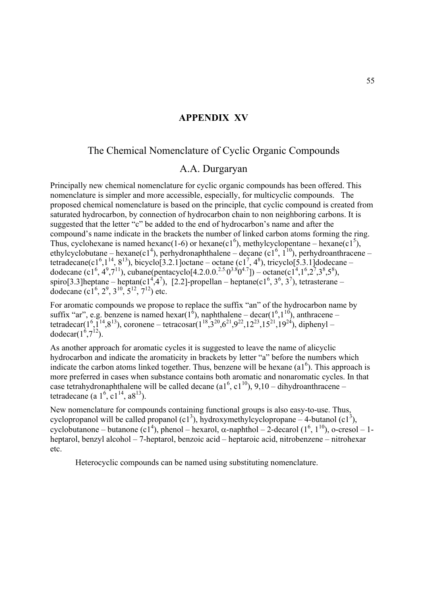# **APPENDIX XV**

# The Chemical Nomenclature of Cyclic Organic Compounds

# A.A. Durgaryan

Principally new chemical nomenclature for cyclic organic compounds has been offered. This nomenclature is simpler and more accessible, especially, for multicyclic compounds. The proposed chemical nomenclature is based on the principle, that cyclic compound is created from saturated hydrocarbon, by connection of hydrocarbon chain to non neighboring carbons. It is suggested that the letter "c" be added to the end of hydrocarbon's name and after the compound's name indicate in the brackets the number of linked carbon atoms forming the ring. Thus, cyclohexane is named hexanc(1-6) or hexane(c1<sup>6</sup>), methylcyclopentane – hexane(c1<sup>5</sup>), ethylcyclobutane – hexane(c1<sup>4</sup>), perhydronaphthalene – decane (c1<sup>6</sup>, 1<sup>10</sup>), perhydroanthracene – tetradecane(c1<sup>6</sup>,1<sup>14</sup>, 8<sup>13</sup>), bicyclo[3.2.1]octane – octane (c1<sup>7</sup>, 4<sup>8</sup>), tricyclo[5.3.1]dodecane – dodecane (c1<sup>6</sup>,  $4^9$ ,  $7^{11}$ ), cubane(pentacyclo[4.2.0.0.<sup>2.5</sup>:0<sup>3.8</sup>0<sup>4.7</sup>]) – octane(c1<sup>4</sup>, 1<sup>6</sup>, 2<sup>7</sup>, 3<sup>8</sup>, 5<sup>8</sup>), spiro[3.3] heptane – heptan(c1<sup>4</sup>,4<sup>7</sup>), [2.2] -propellan – heptane(c1<sup>6</sup>, 3<sup>6</sup>, 3<sup>7</sup>), tetrasterane – dodecane  $(c1^6, 2^9, 3^{10}, 5^{12}, 7^{12})$  etc.

For aromatic compounds we propose to replace the suffix "an" of the hydrocarbon name by suffix "ar", e.g. benzene is named hexar( $1^6$ ), naphthalene – decar( $1^6$ , $1^{10}$ ), anthracene – tetradecar( $1^6$ , $1^{14}$ , $8^{13}$ ), coronene – tetracosar( $1^{18}$ , $3^{20}$ , $6^{21}$ , $9^{22}$ , $12^{23}$ , $15^{21}$ , $19^{24}$ ), diphenyl – dodecar $(1^6, 7^{12})$ .

As another approach for aromatic cycles it is suggested to leave the name of alicyclic hydrocarbon and indicate the aromaticity in brackets by letter "a" before the numbers which indicate the carbon atoms linked together. Thus, benzene will be hexane  $(a1<sup>6</sup>)$ . This approach is more preferred in cases when substance contains both aromatic and nonaromatic cycles. In that case tetrahydronaphthalene will be called decane  $(a1^6, c1^{10}), 9, 10$  – dihydroanthracene – tetradecane (a  $1^6$ , c $1^{14}$ , a $8^{13}$ ).

New nomenclature for compounds containing functional groups is also easy-to-use. Thus, cyclopropanol will be called propanol (c1<sup>3</sup>), hydroxymethylcyclopropane – 4-butanol (c1<sup>3</sup>), cyclobutanone – butanone (c1<sup>4</sup>), phenol – hexarol, α-naphthol – 2-decarol (1<sup>6</sup>, 1<sup>10</sup>), o-cresol – 1heptarol, benzyl alcohol – 7-heptarol, benzoic acid – heptaroic acid, nitrobenzene – nitrohexar etc.

Heterocyclic compounds can be named using substituting nomenclature.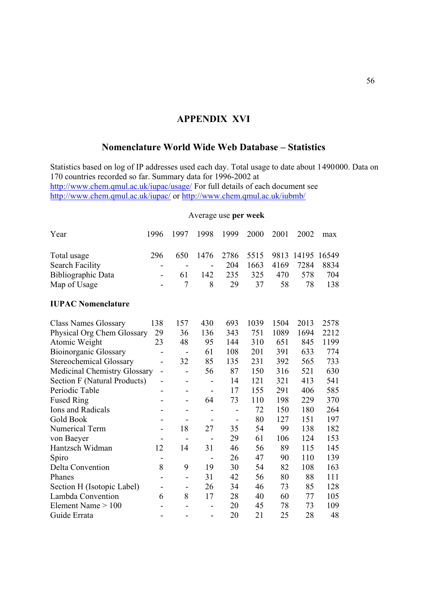# **APPENDIX XVI**

# **Nomenclature World Wide Web Database – Statistics**

Statistics based on log of IP addresses used each day. Total usage to date about 1490000. Data on 170 countries recorded so far. Summary data for 1996-2002 at <http://www.chem.qmul.ac.uk/iupac/usage/> For full details of each document see <http://www.chem.qmul.ac.uk/iupac/>or http://www.chem.qmul.ac.uk/iubmb/

# Average use **per week**

| Year                   | 1996                     | 1997 1998 1999 2000 2001 2002 max |     |     |                                     |     |     |      |
|------------------------|--------------------------|-----------------------------------|-----|-----|-------------------------------------|-----|-----|------|
| Total usage            | 296                      |                                   |     |     | 650 1476 2786 5515 9813 14195 16549 |     |     |      |
| <b>Search Facility</b> | $\overline{\phantom{a}}$ |                                   |     |     | $-204$ 1663 4169 7284 8834          |     |     |      |
| Bibliographic Data     |                          | 61.<br>$\omega_{\rm{max}}$        | 142 | 235 | 325                                 | 470 | 578 | 704  |
| Map of Usage           |                          |                                   | 8   | 29  | 37                                  | 58  | 78  | 138. |

# **IUPAC Nomenclature**

| <b>Class Names Glossary</b>         | 138                      | 157                      | 430 | 693 | 1039 | 1504 | 2013 | 2578 |
|-------------------------------------|--------------------------|--------------------------|-----|-----|------|------|------|------|
| Physical Org Chem Glossary          | 29                       | 36                       | 136 | 343 | 751  | 1089 | 1694 | 2212 |
| Atomic Weight                       | 23                       | 48                       | 95  | 144 | 310  | 651  | 845  | 1199 |
| <b>Bioinorganic Glossary</b>        |                          | $\overline{\phantom{0}}$ | 61  | 108 | 201  | 391  | 633  | 774  |
| <b>Stereochemical Glossary</b>      | $\overline{\phantom{a}}$ | 32                       | 85  | 135 | 231  | 392  | 565  | 733  |
| <b>Medicinal Chemistry Glossary</b> |                          |                          | 56  | 87  | 150  | 316  | 521  | 630  |
| <b>Section F (Natural Products)</b> |                          |                          |     | 14  | 121  | 321  | 413  | 541  |
| Periodic Table                      |                          |                          |     | 17  | 155  | 291  | 406  | 585  |
| <b>Fused Ring</b>                   |                          |                          | 64  | 73  | 110  | 198  | 229  | 370  |
| Ions and Radicals                   |                          |                          |     |     | 72   | 150  | 180  | 264  |
| Gold Book                           |                          |                          |     |     | 80   | 127  | 151  | 197  |
| Numerical Term                      |                          | 18                       | 27  | 35  | 54   | 99   | 138  | 182  |
| von Baeyer                          |                          |                          |     | 29  | 61   | 106  | 124  | 153  |
| Hantzsch Widman                     | 12                       | 14                       | 31  | 46  | 56   | 89   | 115  | 145  |
| Spiro                               |                          |                          |     | 26  | 47   | 90   | 110  | 139  |
| <b>Delta Convention</b>             | 8                        | 9                        | 19  | 30  | 54   | 82   | 108  | 163  |
| Phanes                              |                          | $\overline{\phantom{a}}$ | 31  | 42  | 56   | 80   | 88   | 111  |
| Section H (Isotopic Label)          |                          |                          | 26  | 34  | 46   | 73   | 85   | 128  |
| Lambda Convention                   | 6                        | 8                        | 17  | 28  | 40   | 60   | 77   | 105  |
| Element Name $> 100$                |                          |                          |     | 20  | 45   | 78   | 73   | 109  |
| Guide Errata                        |                          |                          |     | 20  | 21   | 25   | 28   | 48   |